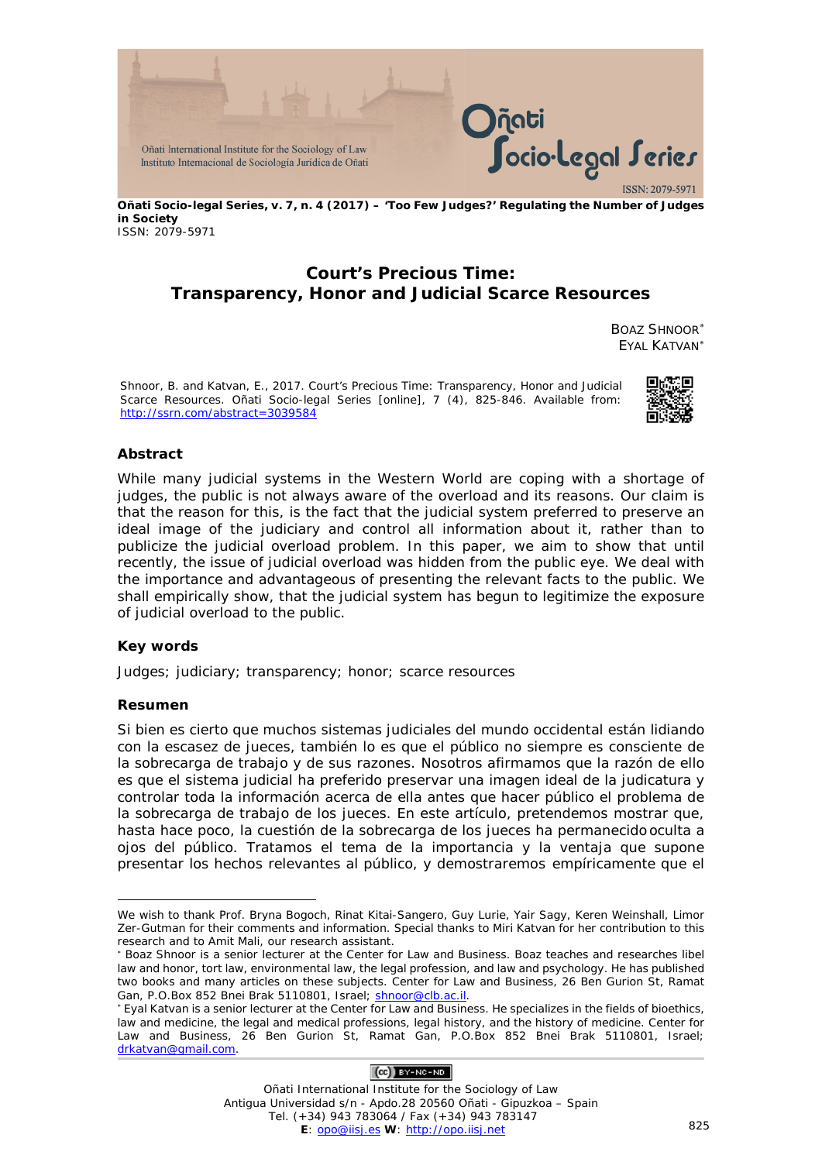

**Oñati Socio-legal Series, v. 7, n. 4 (2017) – 'Too Few Judges?' Regulating the Number of Judges in Society** ISSN: 2079-5971

# **Court's Precious Time: Transparency, Honor and Judicial Scarce Resources**

BOAZ SHNOOR[∗](#page-0-0) EYAL KATVAN[∗](#page-0-1)

Shnoor, B. and Katvan, E., 2017. Court's Precious Time: Transparency, Honor and Judicial Scarce Resources. *Oñati Socio-legal Series* [online], 7 (4), 825-846. Available from: http://ssrn.com/abstract=3039584



#### **Abstract**

While many judicial systems in the Western World are coping with a shortage of judges, the public is not always aware of the overload and its reasons. Our claim is that the reason for this, is the fact that the judicial system preferred to preserve an ideal image of the judiciary and control all information about it, rather than to publicize the judicial overload problem. In this paper, we aim to show that until recently, the issue of *judicial overload* was hidden from the public eye. We deal with the importance and advantageous of presenting the relevant facts to the public. We shall empirically show, that the judicial system has begun to legitimize the exposure of judicial overload to the public.

#### **Key words**

Judges; judiciary; transparency; honor; scarce resources

#### **Resumen**

<u>.</u>

Si bien es cierto que muchos sistemas judiciales del mundo occidental están lidiando con la escasez de jueces, también lo es que el público no siempre es consciente de la sobrecarga de trabajo y de sus razones. Nosotros afirmamos que la razón de ello es que el sistema judicial ha preferido preservar una imagen ideal de la judicatura y controlar toda la información acerca de ella antes que hacer público el problema de la sobrecarga de trabajo de los jueces. En este artículo, pretendemos mostrar que, hasta hace poco, la cuestión de la *sobrecarga de los jueces* ha permanecido oculta a ojos del público. Tratamos el tema de la importancia y la ventaja que supone presentar los hechos relevantes al público, y demostraremos empíricamente que el

## $(Ce)$  BY-NC-ND

Oñati International Institute for the Sociology of Law Antigua Universidad s/n - Apdo.28 20560 Oñati - Gipuzkoa – Spain Tel. (+34) 943 783064 / Fax (+34) 943 783147 **E**: [opo@iisj.es](mailto:opo@iisj.es) **W**: [http://opo.iisj.net](http://opo.iisj.net/) 825

<span id="page-0-0"></span>We wish to thank Prof. Bryna Bogoch, Rinat Kitai-Sangero, Guy Lurie, Yair Sagy, Keren Weinshall, Limor Zer-Gutman for their comments and information. Special thanks to Miri Katvan for her contribution to this research and to Amit Mali, our research assistant.

<sup>∗</sup> Boaz Shnoor is a senior lecturer at the Center for Law and Business. Boaz teaches and researches libel law and honor, tort law, environmental law, the legal profession, and law and psychology. He has published two books and many articles on these subjects. Center for Law and Business, 26 Ben Gurion St, Ramat Gan, P.O.Box 852 Bnei Brak 5110801, Israel; shnoor@clb.ac.il.

<span id="page-0-1"></span><sup>∗</sup> Eyal Katvan is a senior lecturer at the Center for Law and Business. He specializes in the fields of bioethics, law and medicine, the legal and medical professions, legal history, and the history of medicine. Center for Law and Business, 26 Ben Gurion St, Ramat Gan, P.O.Box 852 Bnei Brak 5110801, Israel; drkatvan@gmail.com.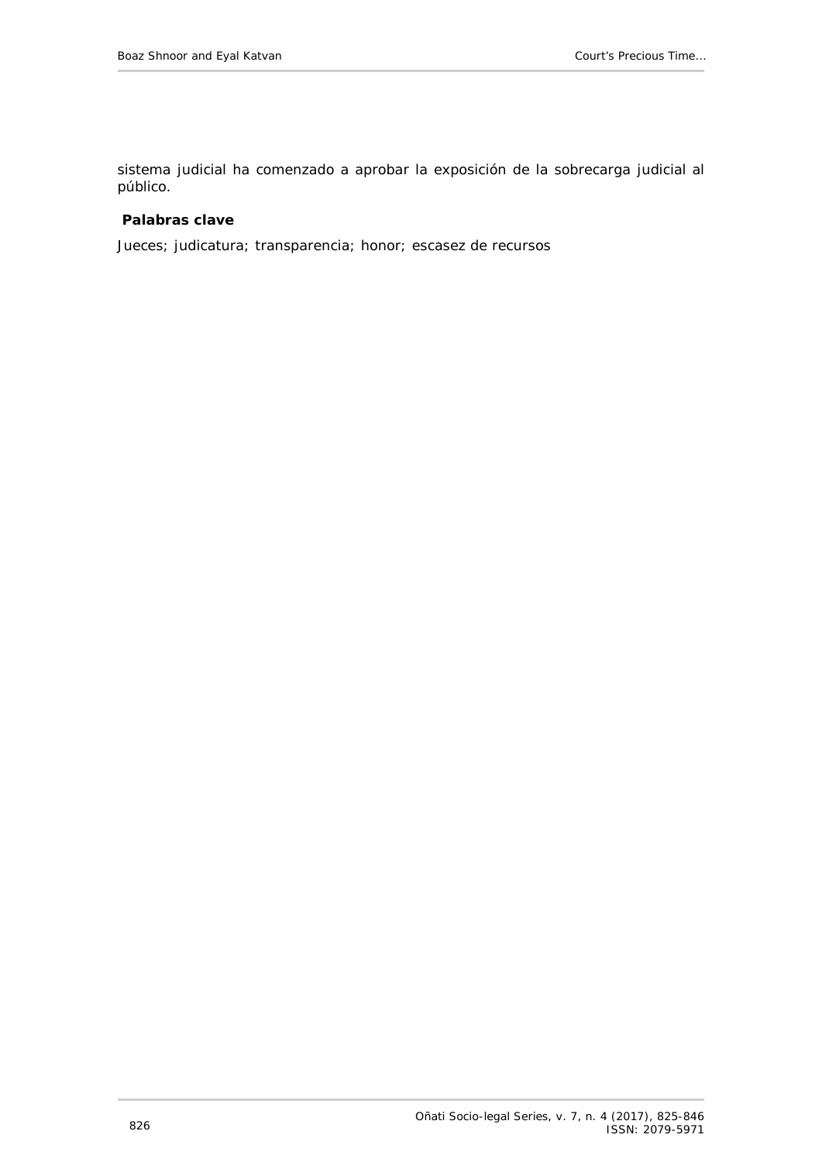sistema judicial ha comenzado a aprobar la exposición de la sobrecarga judicial al público.

### **Palabras clave**

Jueces; judicatura; transparencia; honor; escasez de recursos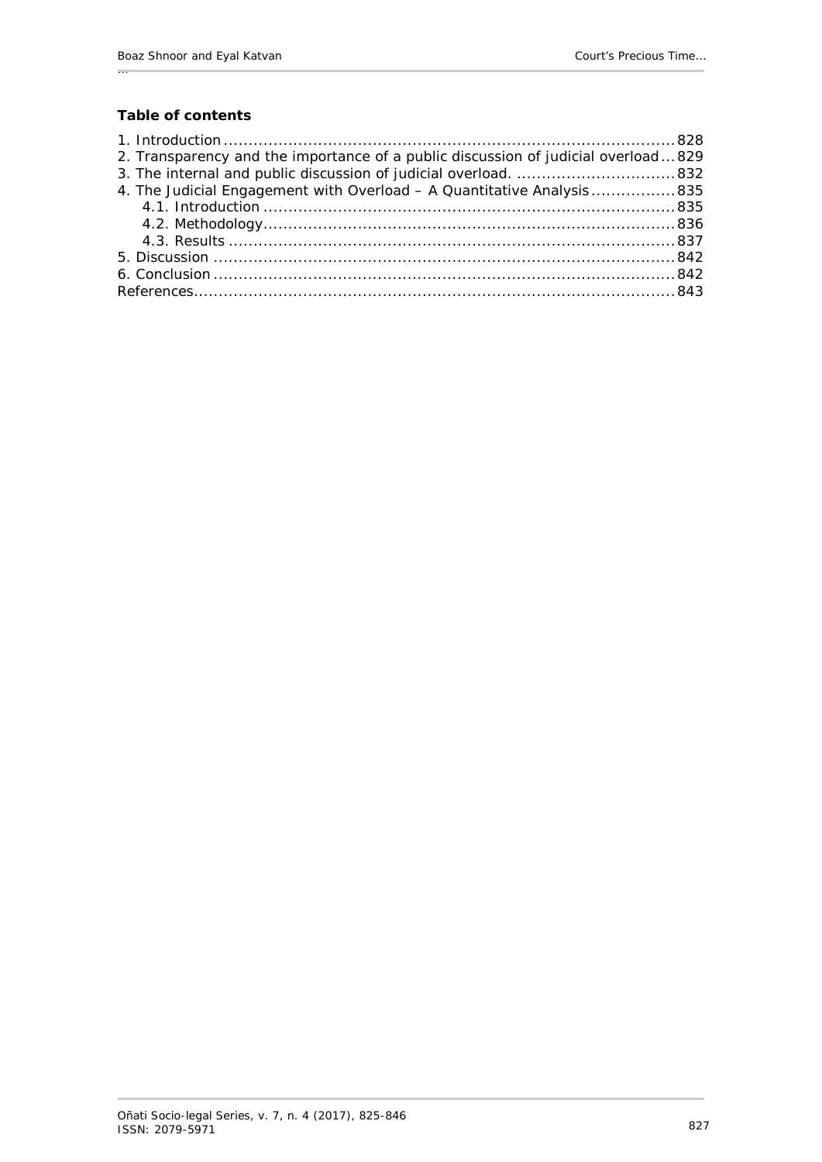## **Table of contents**

…

| 2. Transparency and the importance of a public discussion of judicial overload829 |  |
|-----------------------------------------------------------------------------------|--|
| 3. The internal and public discussion of judicial overload. 832                   |  |
| 4. The Judicial Engagement with Overload - A Quantitative Analysis 835            |  |
|                                                                                   |  |
|                                                                                   |  |
|                                                                                   |  |
|                                                                                   |  |
|                                                                                   |  |
|                                                                                   |  |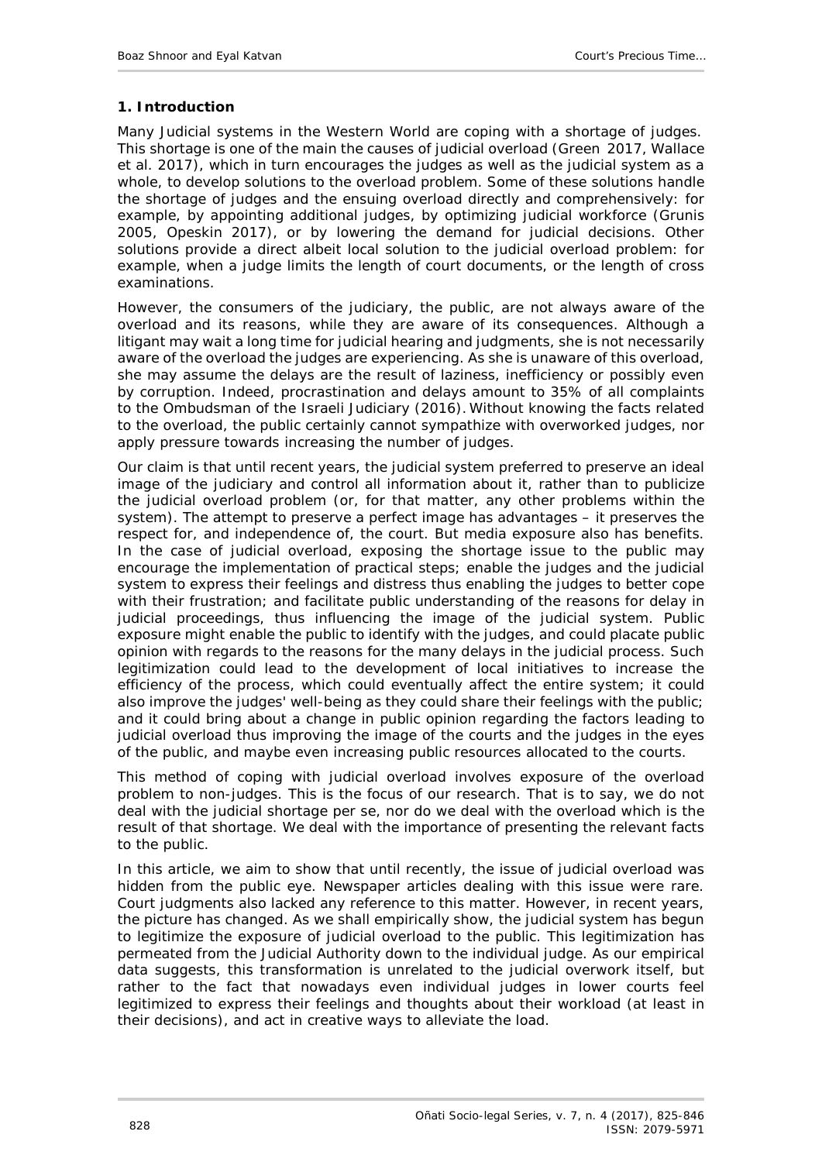### <span id="page-3-0"></span>**1. Introduction**

Many Judicial systems in the Western World are coping with a shortage of judges. This shortage is one of the main the causes of judicial overload (Green 2017, Wallace *et al.* 2017), which in turn encourages the judges as well as the judicial system as a whole, to develop solutions to the overload problem. Some of these solutions handle the shortage of judges and the ensuing overload directly and comprehensively: for example, by appointing additional judges, by optimizing judicial workforce (Grunis 2005, Opeskin 2017), or by lowering the demand for judicial decisions. Other solutions provide a direct albeit local solution to the judicial overload problem: for example, when a judge limits the length of court documents, or the length of cross examinations.

However, the *consumers* of the judiciary, the public, are not always aware of the overload and its reasons, while they are aware of its consequences. Although a litigant may wait a long time for judicial hearing and judgments, she is not necessarily aware of the overload the judges are experiencing. As she is unaware of this overload, she may assume the delays are the result of laziness, inefficiency or possibly even by corruption. Indeed, procrastination and delays amount to 35% of all complaints to the Ombudsman of the Israeli Judiciary (2016). Without knowing the facts related to the overload, the public certainly cannot sympathize with overworked judges, nor apply pressure towards increasing the number of judges.

Our claim is that until recent years, the judicial system preferred to preserve an ideal image of the judiciary and control all information about it, rather than to publicize the judicial overload problem (or, for that matter, any other problems within the system). The attempt to preserve a perfect image has advantages – it preserves the respect for, and independence of, the court. But media exposure also has benefits. In the case of judicial overload, exposing the shortage issue to the public may encourage the implementation of practical steps; enable the judges and the judicial system to express their feelings and distress thus enabling the judges to better cope with their frustration; and facilitate public understanding of the reasons for delay in judicial proceedings, thus influencing the image of the judicial system. Public exposure might enable the public to identify with the judges, and could placate public opinion with regards to the reasons for the many delays in the judicial process. Such legitimization could lead to the development of local initiatives to increase the efficiency of the process, which could eventually affect the entire system; it could also improve the judges' well-being as they could share their feelings with the public; and it could bring about a change in public opinion regarding the factors leading to judicial overload thus improving the image of the courts and the judges in the eyes of the public, and maybe even increasing public resources allocated to the courts.

This method of coping with judicial overload involves exposure of the overload problem to non-judges. This is the focus of our research. That is to say, we do not deal with the judicial shortage per se, nor do we deal with the overload which is the result of that shortage. We deal with the importance of presenting the relevant facts to the public.

In this article, we aim to show that until recently, the issue of judicial overload was hidden from the public eye. Newspaper articles dealing with this issue were rare. Court judgments also lacked any reference to this matter. However, in recent years, the picture has changed. As we shall empirically show, the judicial system has begun to legitimize the exposure of judicial overload to the public. This legitimization has permeated from the Judicial Authority down to the individual judge. As our empirical data suggests, this transformation is unrelated to the judicial overwork itself, but rather to the fact that nowadays even individual judges in lower courts feel legitimized to express their feelings and thoughts about their workload (at least in their decisions), and act in creative ways to alleviate the load.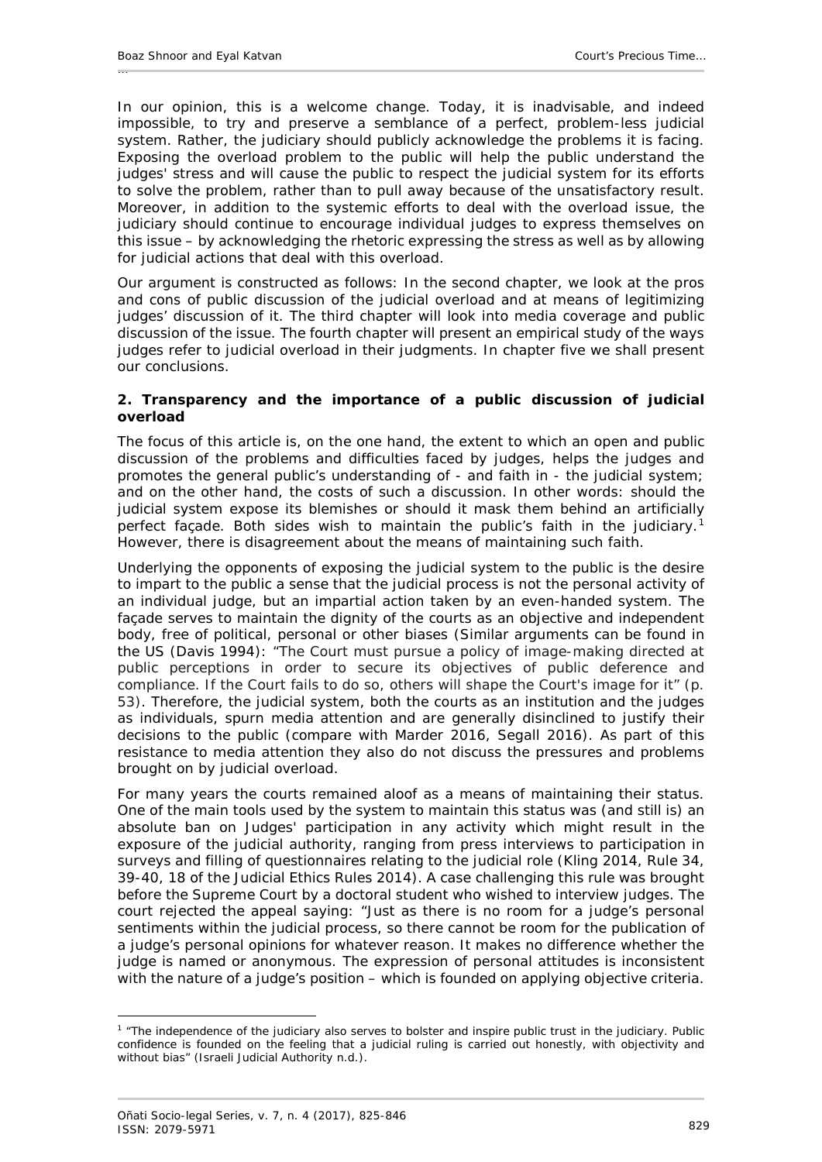In our opinion, this is a welcome change. Today, it is inadvisable, and indeed impossible, to try and preserve a semblance of a perfect, problem-less judicial system. Rather, the judiciary should publicly acknowledge the problems it is facing. Exposing the overload problem to the public will help the public understand the judges' stress and will cause the public to respect the judicial system for its efforts to solve the problem, rather than to pull away because of the unsatisfactory result. Moreover, in addition to the systemic efforts to deal with the overload issue, the judiciary should continue to encourage individual judges to express themselves on this issue – by acknowledging the rhetoric expressing the stress as well as by allowing for judicial actions that deal with this overload.

Our argument is constructed as follows: In the second chapter, we look at the pros and cons of public discussion of the judicial overload and at means of legitimizing judges' discussion of it. The third chapter will look into media coverage and public discussion of the issue. The fourth chapter will present an empirical study of the ways judges refer to judicial overload in their judgments. In chapter five we shall present our conclusions.

### <span id="page-4-0"></span>**2. Transparency and the importance of a public discussion of judicial overload**

The focus of this article is, on the one hand, the extent to which an open and public discussion of the problems and difficulties faced by judges, helps the judges and promotes the general public's understanding of - and faith in - the judicial system; and on the other hand, the costs of such a discussion. In other words: should the judicial system expose its blemishes or should it mask them behind an artificially perfect façade. Both sides wish to maintain the public's faith in the judiciary.[1](#page-4-1) However, there is disagreement about the means of maintaining such faith.

Underlying the opponents of exposing the judicial system to the public is the desire to impart to the public a sense that the judicial process is not the personal activity of an individual judge, but an impartial action taken by an even-handed system. The façade serves to maintain the dignity of the courts as an objective and independent body, free of political, personal or other biases (Similar arguments can be found in the US (Davis 1994): "The Court must pursue a policy of image-making directed at public perceptions in order to secure its objectives of public deference and compliance. If the Court fails to do so, others will shape the Court's image for it" (p. 53). Therefore, the judicial system, both the courts as an institution and the judges as individuals, spurn media attention and are generally disinclined to justify their decisions to the public (compare with Marder 2016, Segall 2016). As part of this resistance to media attention they also do not discuss the pressures and problems brought on by judicial overload.

For many years the courts remained aloof as a means of maintaining their status. One of the main tools used by the system to maintain this status was (and still is) an absolute ban on Judges' participation in any activity which might result in the exposure of the judicial authority, ranging from press interviews to participation in surveys and filling of questionnaires relating to the judicial role (Kling 2014, Rule 34, 39-40, 18 of the Judicial Ethics Rules 2014). A case challenging this rule was brought before the Supreme Court by a doctoral student who wished to interview judges. The court rejected the appeal saying: "Just as there is no room for a judge's personal sentiments within the judicial process, so there cannot be room for the publication of a judge's personal opinions for whatever reason. It makes no difference whether the judge is named or anonymous. The expression of personal attitudes is inconsistent with the nature of a judge's position – which is founded on applying objective criteria.

<span id="page-4-1"></span><sup>-</sup><sup>1</sup> "The independence of the judiciary also serves to bolster and inspire public trust in the judiciary. Public confidence is founded on the feeling that a judicial ruling is carried out honestly, with objectivity and without bias" (Israeli Judicial Authority n.d.).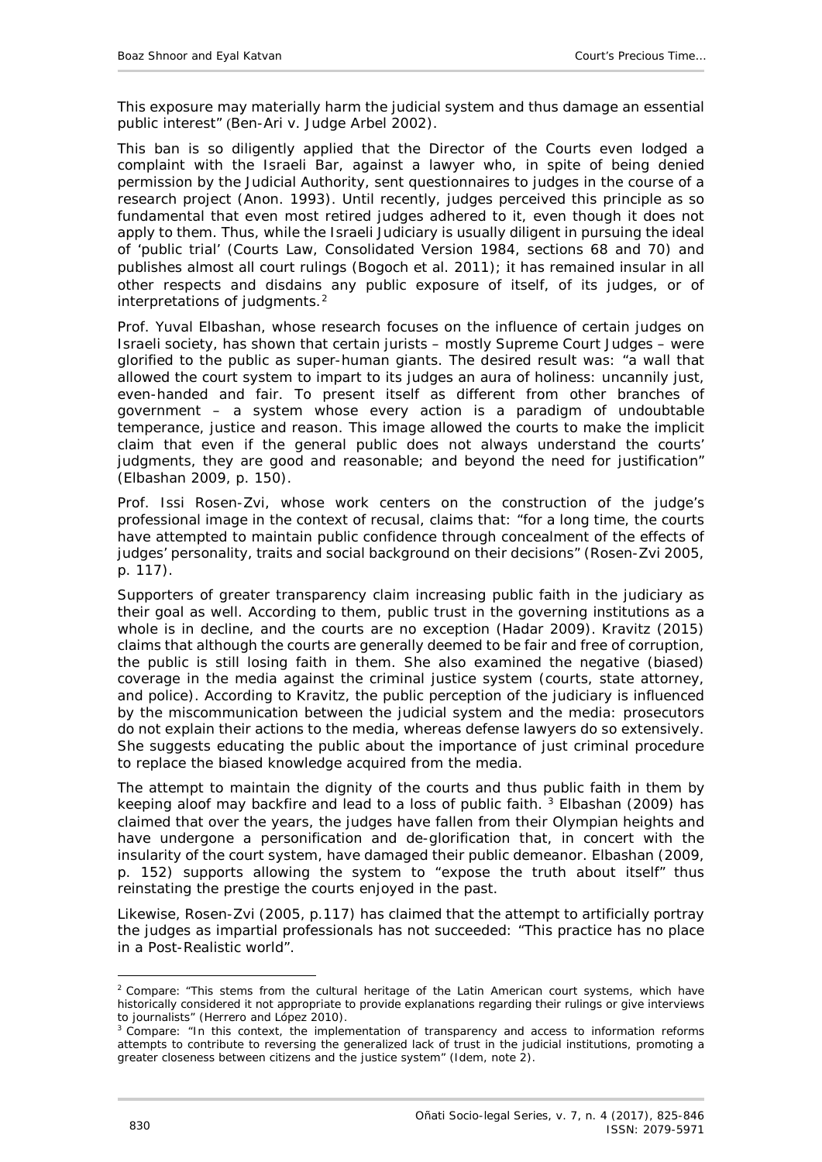This exposure may materially harm the judicial system and thus damage an essential public interest" (*Ben-Ari v. Judge Arbel* 2002).

This ban is so diligently applied that the Director of the Courts even lodged a complaint with the Israeli Bar, against a lawyer who, in spite of being denied permission by the Judicial Authority, sent questionnaires to judges in the course of a research project (Anon. 1993). Until recently, judges perceived this principle as so fundamental that even most retired judges adhered to it, even though it does not apply to them. Thus, while the Israeli Judiciary is usually diligent in pursuing the ideal of 'public trial' (Courts Law, Consolidated Version 1984, sections 68 and 70) and publishes almost all court rulings (Bogoch *et al.* 2011); it has remained insular in all other respects and disdains any public exposure of itself, of its judges, or of interpretations of judgments.<sup>[2](#page-5-0)</sup>

Prof. Yuval Elbashan, whose research focuses on the influence of certain judges on Israeli society, has shown that certain jurists – mostly Supreme Court Judges – were glorified to the public as super-human giants. The desired result was: "a wall that allowed the court system to impart to its judges an aura of holiness: uncannily just, even-handed and fair. To present itself as different from other branches of government – a system whose every action is a paradigm of undoubtable temperance, justice and reason. This image allowed the courts to make the implicit claim that even if the general public does not always understand the courts' judgments, they are good and reasonable; and beyond the need for justification" (Elbashan 2009, p. 150).

Prof. Issi Rosen-Zvi, whose work centers on the construction of the judge's professional image in the context of recusal, claims that: "for a long time, the courts have attempted to maintain public confidence through concealment of the effects of judges' personality, traits and social background on their decisions" (Rosen-Zvi 2005, p. 117).

Supporters of greater transparency claim increasing public faith in the judiciary as their goal as well. According to them, public trust in the governing institutions as a whole is in decline, and the courts are no exception (Hadar 2009). Kravitz (2015) claims that although the courts are generally deemed to be fair and free of corruption, the public is still losing faith in them. She also examined the negative (biased) coverage in the media against the criminal justice system (courts, state attorney, and police). According to Kravitz, the public perception of the judiciary is influenced by the miscommunication between the judicial system and the media: prosecutors do not explain their actions to the media, whereas defense lawyers do so extensively. She suggests educating the public about the importance of just criminal procedure to replace the biased knowledge acquired from the media.

The attempt to maintain the dignity of the courts and thus [p](#page-5-1)ublic faith in them by keeping aloof may backfire and lead to a loss of public faith.<sup>3</sup> Elbashan (2009) has claimed that over the years, the judges have fallen from their Olympian heights and have undergone a personification and de-glorification that, in concert with the insularity of the court system, have damaged their public demeanor. Elbashan (2009, p. 152) supports allowing the system to "expose the truth about itself" thus reinstating the prestige the courts enjoyed in the past.

Likewise, Rosen-Zvi (2005, p.117) has claimed that the attempt to artificially portray the judges as impartial professionals has not succeeded: "This practice has no place in a Post-Realistic world".

<span id="page-5-0"></span><sup>&</sup>lt;u>.</u> <sup>2</sup> Compare: "This stems from the cultural heritage of the Latin American court systems, which have historically considered it not appropriate to provide explanations regarding their rulings or give interviews to journalists" (Herrero and López 2010).

<span id="page-5-1"></span><sup>&</sup>lt;sup>3</sup> Compare: "In this context, the implementation of transparency and access to information reforms attempts to contribute to reversing the generalized lack of trust in the judicial institutions, promoting a greater closeness between citizens and the justice system" (*Idem*, note 2).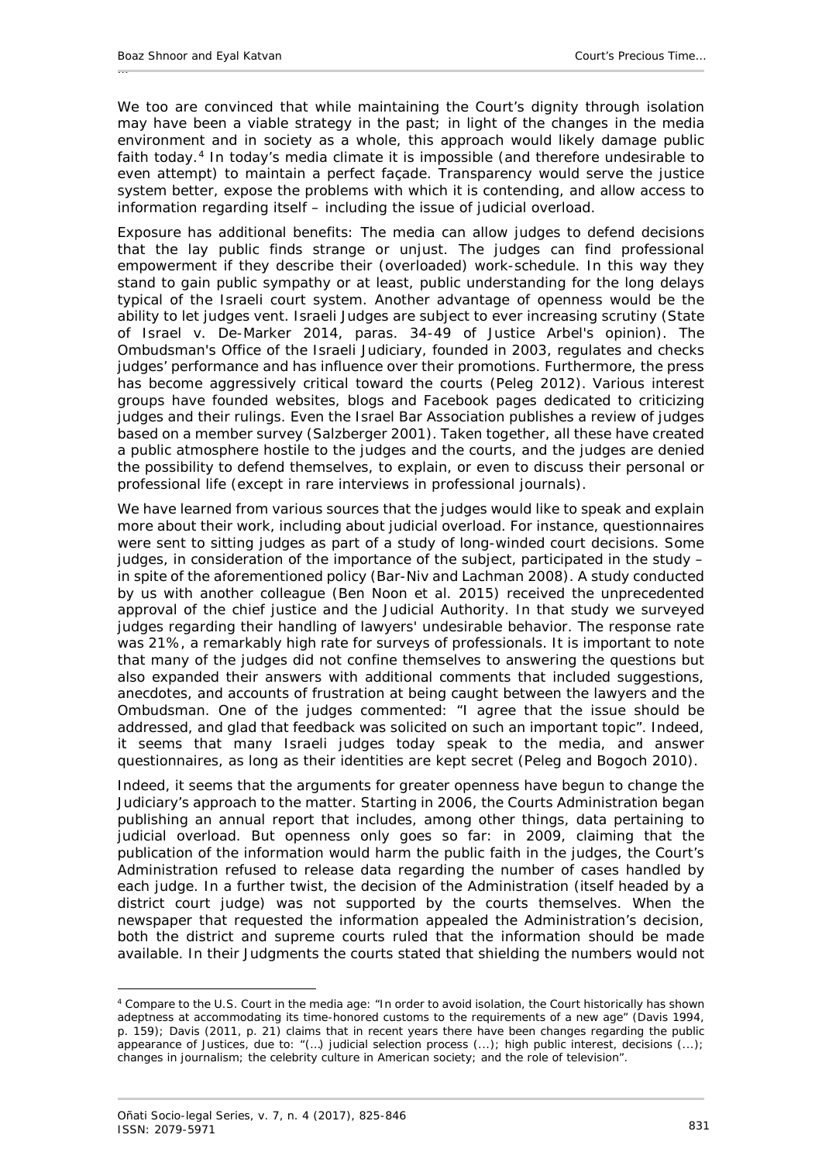We too are convinced that while maintaining the Court's dignity through isolation may have been a viable strategy in the past; in light of the changes in the media environment and in society as a whole, this approach would likely damage public faith today.<sup>[4](#page-6-0)</sup> In today's media climate it is impossible (and therefore undesirable to even attempt) to maintain a perfect façade. Transparency would serve the justice system better, expose the problems with which it is contending, and allow access to information regarding itself – including the issue of judicial overload.

Exposure has additional benefits: The media can allow judges to defend decisions that the lay public finds strange or unjust. The judges can find professional empowerment if they describe their (overloaded) work-schedule. In this way they stand to gain public sympathy or at least, public understanding for the long delays typical of the Israeli court system. Another advantage of openness would be the ability to let judges *vent*. Israeli Judges are subject to ever increasing scrutiny (*State of Israel v. De-Marker* 2014, paras. 34-49 of Justice Arbel's opinion). The Ombudsman's Office of the Israeli Judiciary, founded in 2003, regulates and checks judges' performance and has influence over their promotions. Furthermore, the press has become aggressively critical toward the courts (Peleg 2012). Various interest groups have founded websites, blogs and Facebook pages dedicated to criticizing judges and their rulings. Even the Israel Bar Association publishes a review of judges based on a member survey (Salzberger 2001). Taken together, all these have created a public atmosphere hostile to the judges and the courts, and the judges are denied the possibility to defend themselves, to explain, or even to discuss their personal or professional life (except in rare interviews in professional journals).

We have learned from various sources that the judges would like to speak and explain more about their work, including about judicial overload. For instance, questionnaires were sent to sitting judges as part of a study of long-winded court decisions. Some judges, in consideration of the importance of the subject, participated in the study in spite of the aforementioned policy (Bar-Niv and Lachman 2008). A study conducted by us with another colleague (Ben Noon *et al*. 2015) received the unprecedented approval of the chief justice and the Judicial Authority. In that study we surveyed judges regarding their handling of lawyers' undesirable behavior. The response rate was 21%, a remarkably high rate for surveys of professionals. It is important to note that many of the judges did not confine themselves to answering the questions but also expanded their answers with additional comments that included suggestions, anecdotes, and accounts of frustration at being caught between the lawyers and the Ombudsman. One of the judges commented: "I agree that the issue should be addressed, and glad that feedback was solicited on such an important topic". Indeed, it seems that many Israeli judges today speak to the media, and answer questionnaires, as long as their identities are kept secret (Peleg and Bogoch 2010).

Indeed, it seems that the arguments for greater openness have begun to change the Judiciary's approach to the matter. Starting in 2006, the Courts Administration began publishing an annual report that includes, among other things, data pertaining to judicial overload. But openness only goes so far: in 2009, claiming that the publication of the information would harm the public faith in the judges, the Court's Administration refused to release data regarding the number of cases handled by each judge. In a further twist, the decision of the Administration (itself headed by a district court judge) was not supported by the courts themselves. When the newspaper that requested the information appealed the Administration's decision, both the district and supreme courts ruled that the information should be made available. In their Judgments the courts stated that shielding the numbers would not

<u>.</u>

<span id="page-6-0"></span><sup>4</sup> Compare to the U.S. Court in the media age: "In order to avoid isolation, the Court historically has shown adeptness at accommodating its time-honored customs to the requirements of a new age" (Davis 1994, p. 159); Davis (2011, p. 21) claims that in recent years there have been changes regarding the public appearance of Justices, due to: "(…) judicial selection process (...); high public interest, decisions (...); changes in journalism; the celebrity culture in American society; and the role of television".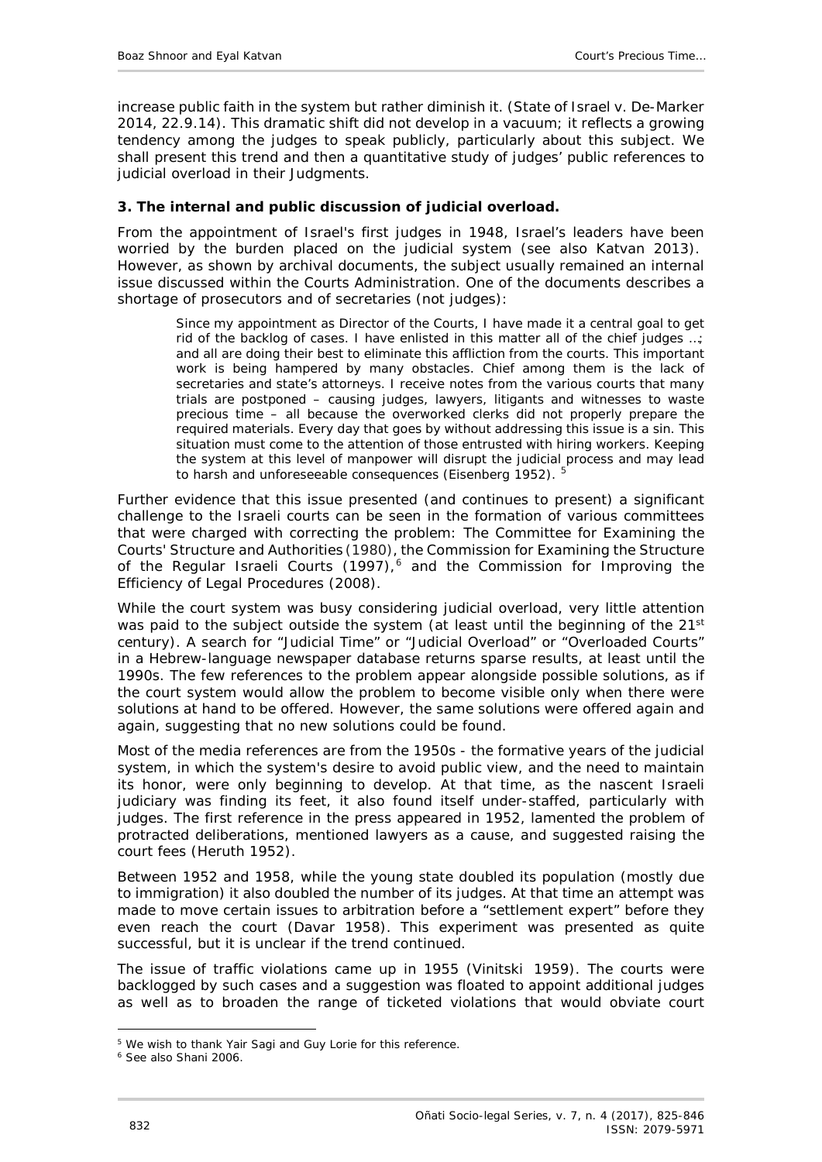increase public faith in the system but rather diminish it. (*State of Israel v. De-Marker* 2014, 22.9.14). This dramatic shift did not develop in a vacuum; it reflects a growing tendency among the judges to speak publicly, particularly about this subject. We shall present this trend and then a quantitative study of judges' public references to judicial overload in their Judgments.

### <span id="page-7-0"></span>**3. The internal and public discussion of judicial overload.**

From the appointment of Israel's first judges in 1948, Israel's leaders have been worried by the burden placed on the judicial system (see also Katvan 2013). However, as shown by archival documents, the subject usually remained an internal issue discussed within the Courts Administration. One of the documents describes a shortage of prosecutors and of secretaries (not judges):

Since my appointment as Director of the Courts, I have made it a central goal to get rid of the backlog of cases. I have enlisted in this matter all of the chief judges …; and all are doing their best to eliminate this affliction from the courts. This important work is being hampered by many obstacles. Chief among them is the lack of secretaries and state's attorneys. I receive notes from the various courts that many trials are postponed – causing judges, lawyers, litigants and witnesses to waste precious time – all because the overworked clerks did not properly prepare the required materials. Every day that goes by without addressing this issue is a sin. This situation must come to the attention of those entrusted with hiring workers. Keeping the system at this level of manpower will disrupt the judicial process and may lead to harsh and unforeseeable consequences (Eisenberg 1952). <sup>5</sup>

Further evidence that this issue presented (and continues to present) a significant challenge to the Israeli courts can be seen in the formation of various committees that were charged with correcting the problem: The Committee for Examining the Courts' Structure and Authorities (1980), the Commission for Examining the Structure of the Regular Israeli Courts (1997),<sup>[6](#page-7-1)</sup> and the Commission for Improving the Efficiency of Legal Procedures (2008).

While the court system was busy considering judicial overload, very little attention was paid to the subject outside the system (at least until the beginning of the 21<sup>st</sup> century). A search for "Judicial Time" or "Judicial Overload" or "Overloaded Courts" in a Hebrew-language newspaper database returns sparse results, at least until the 1990s. The few references to the problem appear alongside possible solutions, as if the court system would allow the problem to become visible only when there were solutions at hand to be offered. However, the same solutions were offered again and again, suggesting that no new solutions could be found.

Most of the media references are from the 1950s - the formative years of the judicial system, in which the system's desire to avoid public view, and the need to maintain its honor, were only beginning to develop. At that time, as the nascent Israeli judiciary was finding its feet, it also found itself under-staffed, particularly with judges. The first reference in the press appeared in 1952, lamented the problem of protracted deliberations, mentioned lawyers as a cause, and suggested raising the court fees (Heruth 1952).

Between 1952 and 1958, while the young state doubled its population (mostly due to immigration) it also doubled the number of its judges. At that time an attempt was made to move certain issues to arbitration before a "settlement expert" before they even reach the court (Davar 1958). This experiment was presented as quite successful, but it is unclear if the trend continued.

The issue of traffic violations came up in 1955 (Vinitski 1959). The courts were backlogged by such cases and a suggestion was floated to appoint additional judges as well as to broaden the range of ticketed violations that would obviate court

<sup>-</sup><sup>5</sup> We wish to thank Yair Sagi and Guy Lorie for this reference.

<span id="page-7-1"></span><sup>6</sup> See also Shani 2006.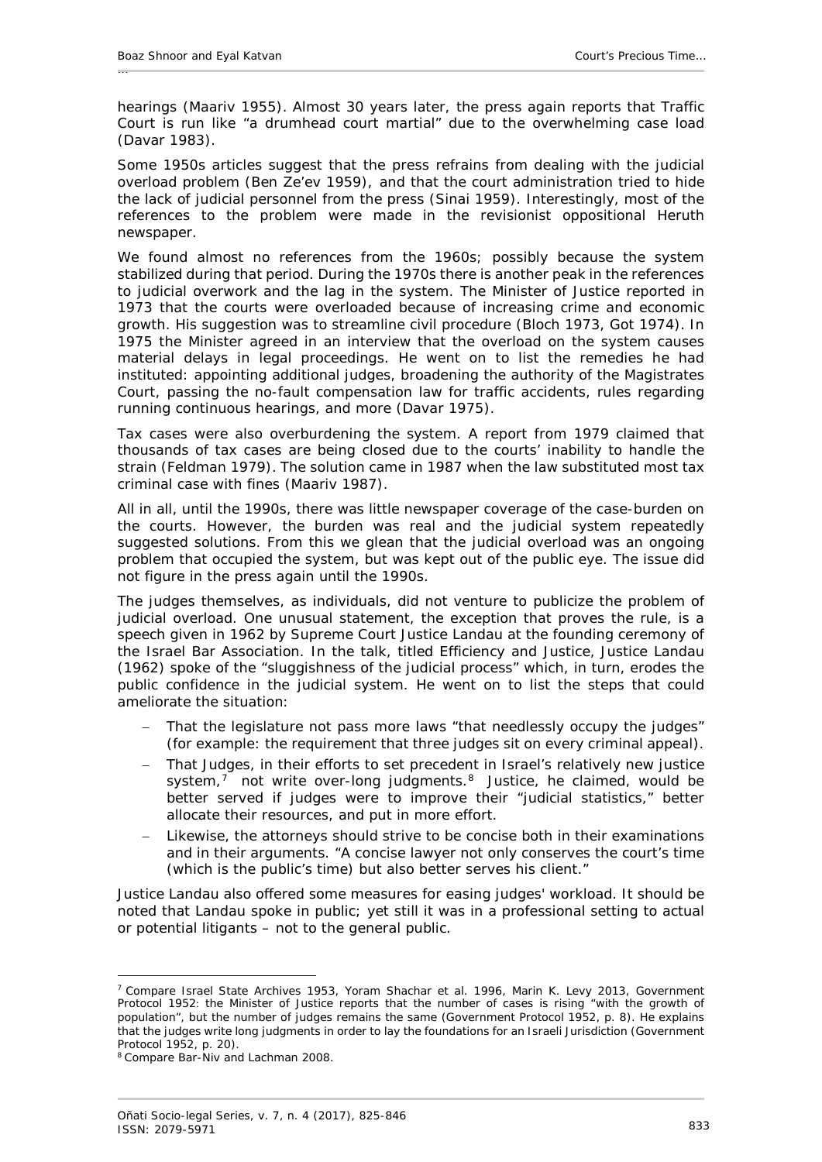hearings (Maariv 1955). Almost 30 years later, the press again reports that Traffic Court is run like "a drumhead court martial" due to the overwhelming case load (Davar 1983).

Some 1950s articles suggest that the press refrains from dealing with the judicial overload problem (Ben Ze'ev 1959), and that the court administration tried to hide the lack of judicial personnel from the press (Sinai 1959). Interestingly, most of the references to the problem were made in the revisionist oppositional *Heruth* newspaper.

We found almost no references from the 1960s; possibly because the system stabilized during that period. During the 1970s there is another peak in the references to judicial overwork and the lag in the system. The Minister of Justice reported in 1973 that the courts were overloaded because of increasing crime and economic growth. His suggestion was to streamline civil procedure (Bloch 1973, Got 1974). In 1975 the Minister agreed in an interview that the overload on the system causes material delays in legal proceedings. He went on to list the remedies he had instituted: appointing additional judges, broadening the authority of the Magistrates Court, passing the no-fault compensation law for traffic accidents, rules regarding running continuous hearings, and more (Davar 1975).

Tax cases were also overburdening the system. A report from 1979 claimed that thousands of tax cases are being closed due to the courts' inability to handle the strain (Feldman 1979). The solution came in 1987 when the law substituted most tax criminal case with fines (Maariv 1987).

All in all, until the 1990s, there was little newspaper coverage of the case-burden on the courts. However, the burden was real and the judicial system repeatedly suggested solutions. From this we glean that the judicial overload was an ongoing problem that occupied the system, but was kept out of the public eye. The issue did not figure in the press again until the 1990s.

The judges themselves, as individuals, did not venture to publicize the problem of judicial overload. One unusual statement, the exception that proves the rule, is a speech given in 1962 by Supreme Court Justice Landau at the founding ceremony of the Israel Bar Association. In the talk, titled *Efficiency and Justice*, Justice Landau (1962) spoke of the "sluggishness of the judicial process" which, in turn, erodes the public confidence in the judicial system. He went on to list the steps that could ameliorate the situation:

- That the legislature not pass more laws "that needlessly occupy the judges" (for example: the requirement that three judges sit on every criminal appeal).
- That Judges, in their efforts to set precedent in Israel's relatively new justice system, $\frac{7}{1}$  $\frac{7}{1}$  $\frac{7}{1}$  not write over-long judgments.<sup>[8](#page-8-1)</sup> Justice, he claimed, would be better served if judges were to improve their "judicial statistics," better allocate their resources, and put in more effort.
- Likewise, the attorneys should strive to be concise both in their examinations and in their arguments. "A concise lawyer not only conserves the court's time (which is the public's time) but also better serves his client."

Justice Landau also offered some measures for easing judges' workload. It should be noted that Landau spoke in public; yet still it was in a professional setting to actual or potential litigants – not to the general public.

-

<span id="page-8-0"></span><sup>7</sup> Compare Israel State Archives 1953, Yoram Shachar *et al.* 1996, Marin K. Levy 2013, Government Protocol 1952: the Minister of Justice reports that the number of cases is rising "with the growth of population", but the number of judges remains the same (Government Protocol 1952, p. 8). He explains that the judges write long judgments in order to lay the foundations for an Israeli Jurisdiction (Government Protocol 1952, p. 20).<br><sup>8</sup> Compare Bar-Niv and Lachman 2008.

<span id="page-8-1"></span>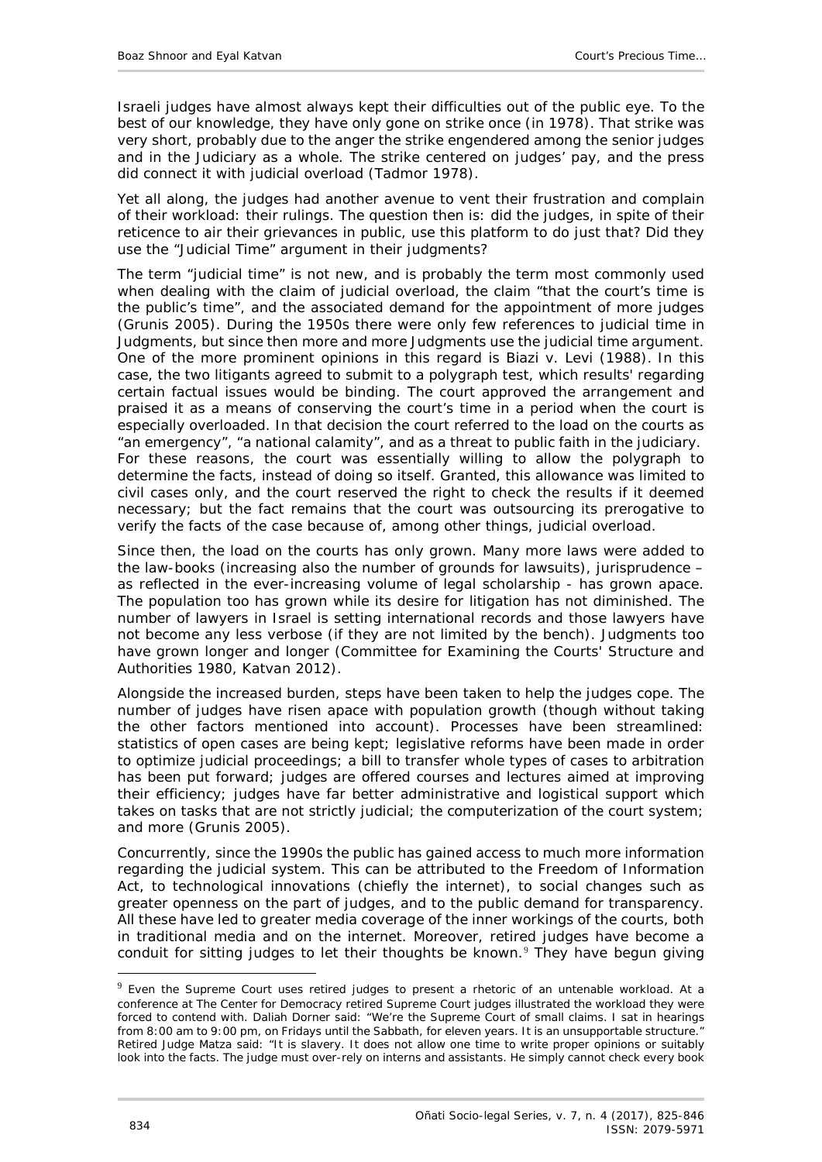Israeli judges have almost always kept their difficulties out of the public eye. To the best of our knowledge, they have only gone on strike once (in 1978). That strike was very short, probably due to the anger the strike engendered among the senior judges and in the Judiciary as a whole. The strike centered on judges' pay, and the press did connect it with judicial overload (Tadmor 1978).

Yet all along, the judges had another avenue to vent their frustration and complain of their workload: their rulings. The question then is: did the judges, in spite of their reticence to air their grievances in public, use this platform to do just that? Did they use the "Judicial Time" argument in their judgments?

The term "judicial time" is not new, and is probably the term most commonly used when dealing with the claim of judicial overload, the claim "that the court's time is the public's time", and the associated demand for the appointment of more judges (Grunis 2005). During the 1950s there were only few references to judicial time in Judgments, but since then more and more Judgments use the judicial time argument. One of the more prominent opinions in this regard is *Biazi v. Levi* (1988). In this case, the two litigants agreed to submit to a polygraph test, which results' regarding certain factual issues would be binding. The court approved the arrangement and praised it as a means of conserving the court's time in a period when the court is especially overloaded. In that decision the court referred to the load on the courts as "an emergency", "a national calamity", and as a threat to public faith in the judiciary. For these reasons, the court was essentially willing to allow the polygraph to determine the facts, instead of doing so itself. Granted, this allowance was limited to civil cases only, and the court reserved the right to check the results if it deemed necessary; but the fact remains that the court was outsourcing its prerogative to verify the facts of the case because of, among other things, judicial overload.

Since then, the load on the courts has only grown. Many more laws were added to the law-books (increasing also the number of grounds for lawsuits), jurisprudence – as reflected in the ever-increasing volume of legal scholarship - has grown apace. The population too has grown while its desire for litigation has not diminished. The number of lawyers in Israel is setting international records and those lawyers have not become any less verbose (if they are not limited by the bench). Judgments too have grown longer and longer (Committee for Examining the Courts' Structure and Authorities 1980, Katvan 2012).

Alongside the increased burden, steps have been taken to help the judges cope. The number of judges have risen apace with population growth (though without taking the other factors mentioned into account). Processes have been streamlined: statistics of open cases are being kept; legislative reforms have been made in order to optimize judicial proceedings; a bill to transfer whole types of cases to arbitration has been put forward; judges are offered courses and lectures aimed at improving their efficiency; judges have far better administrative and logistical support which takes on tasks that are not strictly judicial; the computerization of the court system; and more (Grunis 2005).

Concurrently, since the 1990s the public has gained access to much more information regarding the judicial system. This can be attributed to the Freedom of Information Act, to technological innovations (chiefly the internet), to social changes such as greater openness on the part of judges, and to the public demand for transparency. All these have led to greater media coverage of the inner workings of the courts, both in traditional media and on the internet. Moreover, retired judges have become a conduit for sitting judges to let their thoughts be known.<sup>[9](#page-9-0)</sup> They have begun giving

<span id="page-9-0"></span> <sup>9</sup> Even the Supreme Court uses retired judges to present a rhetoric of an untenable workload. At a conference at The Center for Democracy retired Supreme Court judges illustrated the workload they were forced to contend with. Daliah Dorner said: "We're the Supreme Court of small claims. I sat in hearings from 8:00 am to 9:00 pm, on Fridays until the Sabbath, for eleven years. It is an unsupportable structure." Retired Judge Matza said: "It is slavery. It does not allow one time to write proper opinions or suitably look into the facts. The judge must over-rely on interns and assistants. He simply cannot check every book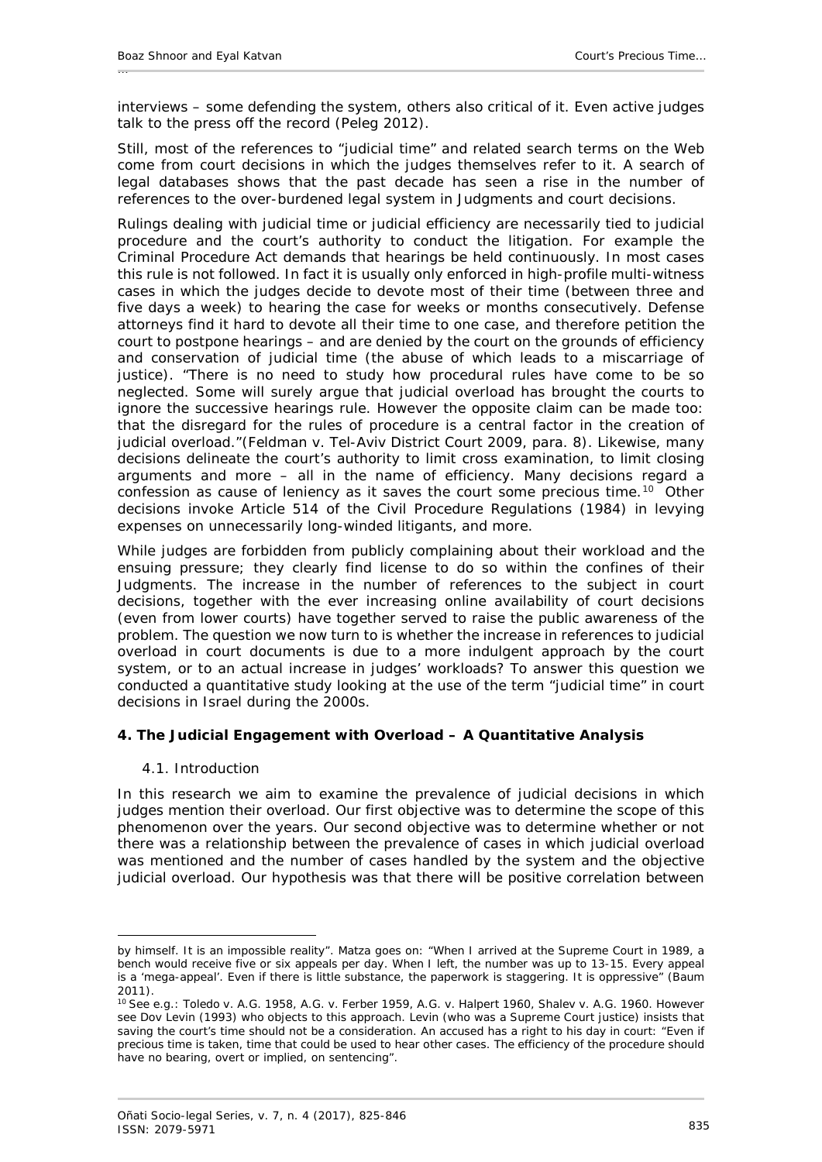interviews – some defending the system, others also critical of it. Even active judges talk to the press off the record (Peleg 2012).

Still, most of the references to "judicial time" and related search terms on the Web come from court decisions in which the judges themselves refer to it. A search of legal databases shows that the past decade has seen a rise in the number of references to the over-burdened legal system in Judgments and court decisions.

Rulings dealing with judicial time or judicial efficiency are necessarily tied to judicial procedure and the court's authority to conduct the litigation. For example the Criminal Procedure Act demands that hearings be held continuously. In most cases this rule is not followed. In fact it is usually only enforced in high-profile multi-witness cases in which the judges decide to devote most of their time (between three and five days a week) to hearing the case for weeks or months consecutively. Defense attorneys find it hard to devote all their time to one case, and therefore petition the court to postpone hearings – and are denied by the court on the grounds of efficiency and conservation of judicial time (the abuse of which leads to a miscarriage of justice). "There is no need to study how procedural rules have come to be so neglected. Some will surely argue that judicial overload has brought the courts to ignore the successive hearings rule. However the opposite claim can be made too: that the disregard for the rules of procedure is a central factor in the creation of judicial overload."(*Feldman v. Tel-Aviv District Court* 2009, para. 8). Likewise, many decisions delineate the court's authority to limit cross examination, to limit closing arguments and more – all in the name of efficiency. Many decisions regard a confession as cause of leniency as it saves the court some precious time.<sup>[10](#page-10-2)</sup> Other decisions invoke Article 514 of the Civil Procedure Regulations (1984) in levying expenses on unnecessarily long-winded litigants, and more.

While judges are forbidden from publicly complaining about their workload and the ensuing pressure; they clearly find license to do so within the confines of their Judgments. The increase in the number of references to the subject in court decisions, together with the ever increasing online availability of court decisions (even from lower courts) have together served to raise the public awareness of the problem. The question we now turn to is whether the increase in references to judicial overload in court documents is due to a more indulgent approach by the court system, or to an actual increase in judges' workloads? To answer this question we conducted a quantitative study looking at the use of the term "judicial time" in court decisions in Israel during the 2000s.

## <span id="page-10-1"></span><span id="page-10-0"></span>**4. The Judicial Engagement with Overload – A Quantitative Analysis**

## *4.1. Introduction*

<u>.</u>

In this research we aim to examine the prevalence of judicial decisions in which judges mention their overload. Our first objective was to determine the scope of this phenomenon over the years. Our second objective was to determine whether or not there was a relationship between the prevalence of cases in which judicial overload was mentioned and the number of cases handled by the system and the objective judicial overload. Our hypothesis was that there will be positive correlation between

by himself. It is an impossible reality". Matza goes on: "When I arrived at the Supreme Court in 1989, a bench would receive five or six appeals per day. When I left, the number was up to 13-15. Every appeal is a 'mega-appeal'. Even if there is little substance, the paperwork is staggering. It is oppressive" (Baum 2011).

<span id="page-10-2"></span><sup>10</sup> See e.g.: *Toledo v. A.G.* 1958, *A.G. v. Ferber* 1959, *A.G. v. Halpert* 1960, *Shalev v. A.G.* 1960. However see Dov Levin (1993) who objects to this approach. Levin (who was a Supreme Court justice) insists that saving the court's time should not be a consideration. An accused has a right to his day in court: "Even if precious time is taken, time that could be used to hear other cases. The efficiency of the procedure should have no bearing, overt or implied, on sentencing".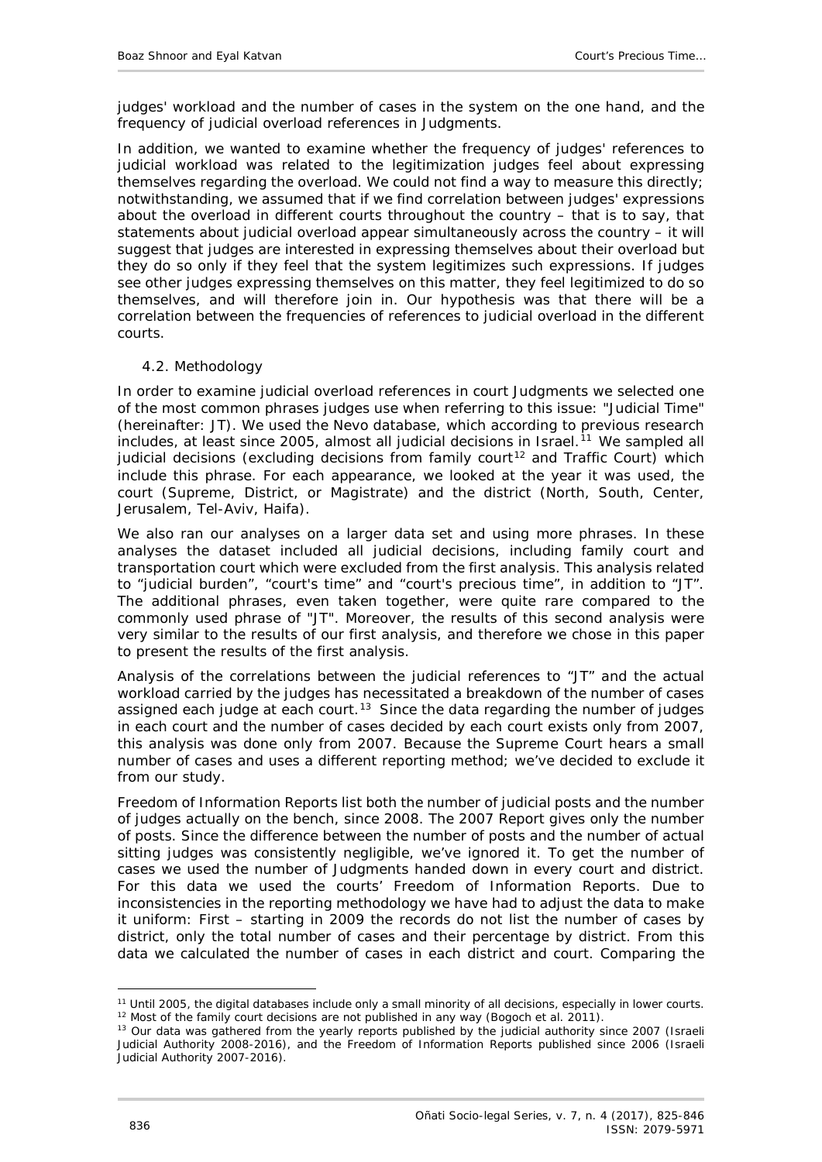judges' workload and the number of cases in the system on the one hand, and the frequency of judicial overload references in Judgments.

In addition, we wanted to examine whether the frequency of judges' references to judicial workload was related to the legitimization judges feel about expressing themselves regarding the overload. We could not find a way to measure this directly; notwithstanding, we assumed that if we find correlation between judges' expressions about the overload in different courts throughout the country – that is to say, that statements about judicial overload appear simultaneously across the country – it will suggest that judges are interested in expressing themselves about their overload but they do so only if they feel that the system legitimizes such expressions. If judges see other judges expressing themselves on this matter, they feel legitimized to do so themselves, and will therefore join in. Our hypothesis was that there will be a correlation between the frequencies of references to judicial overload in the different courts.

### <span id="page-11-0"></span>*4.2. Methodology*

In order to examine judicial overload references in court Judgments we selected one of the most common phrases judges use when referring to this issue: "Judicial Time" (hereinafter: JT). We used the Nevo database, which according to previous research includes, at least since 2005, almost all judicial decisions in Israel.<sup>[11](#page-11-1)</sup> We sampled all judicial decisions (excluding decisions from family court<sup>[12](#page-11-2)</sup> and Traffic Court) which include this phrase. For each appearance, we looked at the year it was used, the court (Supreme, District, or Magistrate) and the district (North, South, Center, Jerusalem, Tel-Aviv, Haifa).

We also ran our analyses on a larger data set and using more phrases. In these analyses the dataset included all judicial decisions, including family court and transportation court which were excluded from the first analysis. This analysis related to "judicial burden", "court's time" and "court's precious time", in addition to "JT". The additional phrases, even taken together, were quite rare compared to the commonly used phrase of "JT". Moreover, the results of this second analysis were very similar to the results of our first analysis, and therefore we chose in this paper to present the results of the first analysis.

Analysis of the correlations between the judicial references to "JT" and the actual workload carried by the judges has necessitated a breakdown of the number of cases assigned each judge at each court.<sup>[13](#page-11-3)</sup> Since the data regarding the number of judges in each court and the number of cases decided by each court exists only from 2007, this analysis was done only from 2007. Because the Supreme Court hears a small number of cases and uses a different reporting method; we've decided to exclude it from our study.

Freedom of Information Reports list both the number of judicial posts and the number of judges actually on the bench, since 2008. The 2007 Report gives only the number of posts. Since the difference between the number of posts and the number of actual sitting judges was consistently negligible, we've ignored it. To get the number of cases we used the number of Judgments handed down in every court and district. For this data we used the courts' Freedom of Information Reports. Due to inconsistencies in the reporting methodology we have had to adjust the data to make it uniform: First – starting in 2009 the records do not list the number of cases by district, only the total number of cases and their percentage by district. From this data we calculated the number of cases in each district and court. Comparing the

<span id="page-11-1"></span><sup>&</sup>lt;u>.</u> <sup>11</sup> Until 2005, the digital databases include only a small minority of all decisions, especially in lower courts.<br><sup>12</sup> Most of the family court decisions are not published in any way (Bogoch *et al.* 2011).<br><sup>13</sup> Our data

<span id="page-11-3"></span><span id="page-11-2"></span>Judicial Authority 2008-2016), and the *Freedom of Information Reports* published since 2006 (Israeli Judicial Authority 2007-2016).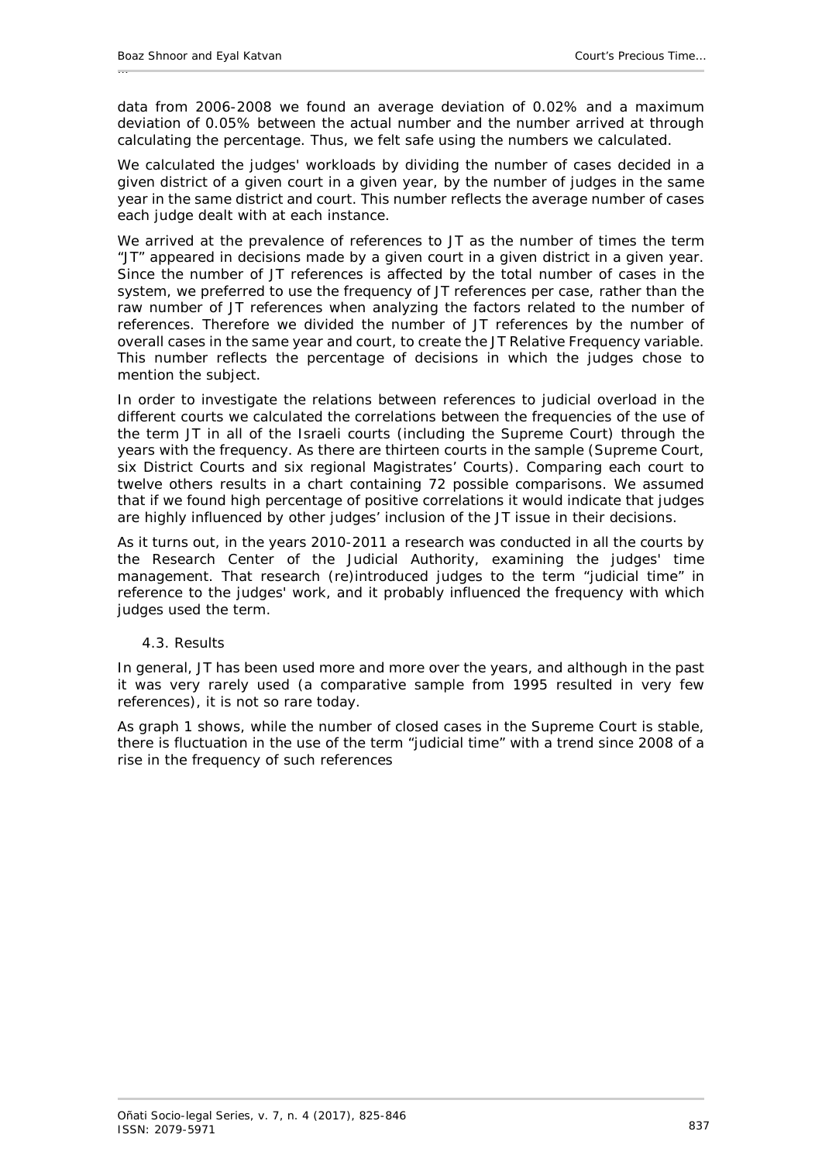data from 2006-2008 we found an average deviation of 0.02% and a maximum deviation of 0.05% between the actual number and the number arrived at through calculating the percentage. Thus, we felt safe using the numbers we calculated.

We calculated the judges' workloads by dividing the number of cases decided in a given district of a given court in a given year, by the number of judges in the same year in the same district and court. This number reflects the average number of cases each judge dealt with at each instance.

We arrived at the prevalence of references to JT as the number of times the term "JT" appeared in decisions made by a given court in a given district in a given year. Since the number of JT references is affected by the total number of cases in the system, we preferred to use the frequency of JT references per case, rather than the raw number of JT references when analyzing the factors related to the number of references. Therefore we divided the number of JT references by the number of overall cases in the same year and court, to create the JT Relative Frequency variable. This number reflects the percentage of decisions in which the judges chose to mention the subject.

In order to investigate the relations between references to judicial overload in the different courts we calculated the correlations between the frequencies of the use of the term JT in all of the Israeli courts (including the Supreme Court) through the years with the frequency. As there are thirteen courts in the sample (Supreme Court, six District Courts and six regional Magistrates' Courts). Comparing each court to twelve others results in a chart containing 72 possible comparisons. We assumed that if we found high percentage of positive correlations it would indicate that judges are highly influenced by other judges' inclusion of the JT issue in their decisions.

As it turns out, in the years 2010-2011 a research was conducted in all the courts by the Research Center of the Judicial Authority, examining the judges' time management. That research (re)introduced judges to the term "judicial time" in reference to the judges' work, and it probably influenced the frequency with which judges used the term.

#### <span id="page-12-0"></span>*4.3. Results*

In general, JT has been used more and more over the years, and although in the past it was very rarely used (a comparative sample from 1995 resulted in very few references), it is not so rare today.

As graph 1 shows, while the number of closed cases in the Supreme Court is stable, there is fluctuation in the use of the term "judicial time" with a trend since 2008 of a rise in the frequency of such references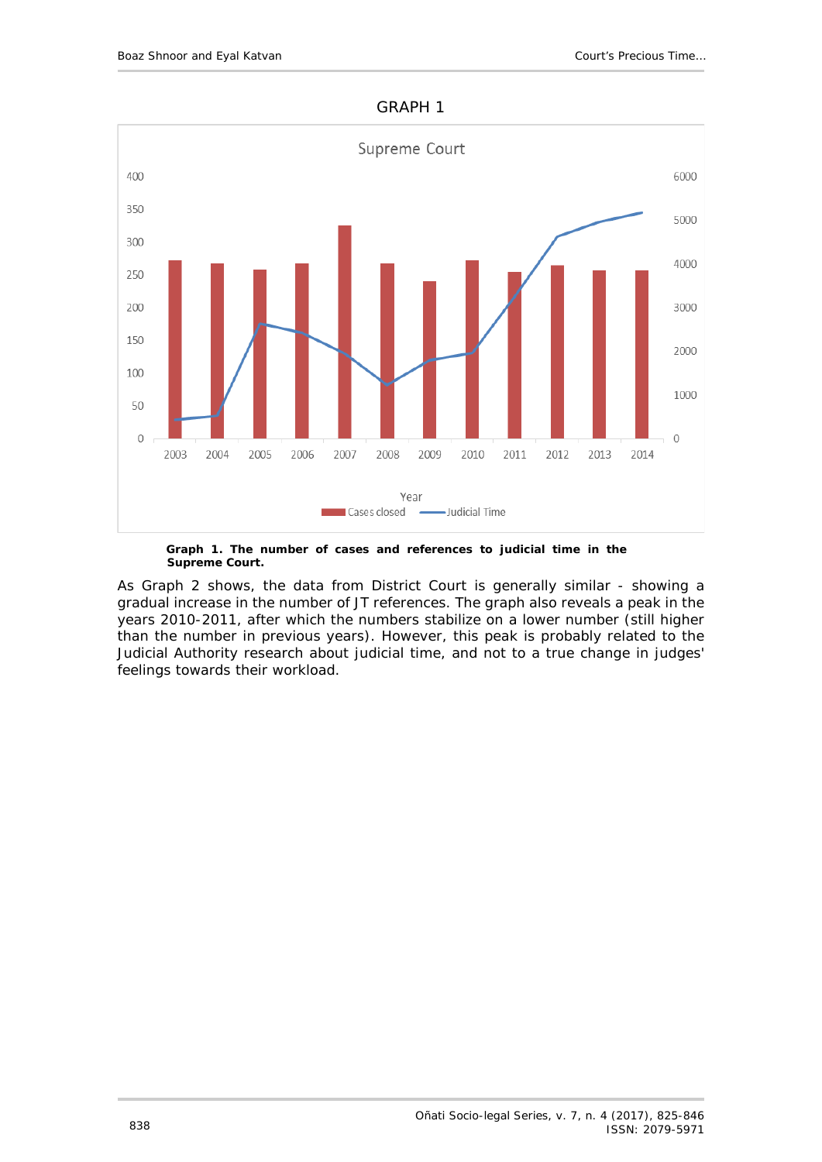

#### GRAPH 1

**Graph 1. The number of cases and references to judicial time in the Supreme Court.**

As Graph 2 shows, the data from District Court is generally similar - showing a gradual increase in the number of JT references. The graph also reveals a peak in the years 2010-2011, after which the numbers stabilize on a lower number (still higher than the number in previous years). However, this peak is probably related to the Judicial Authority research about judicial time, and not to a true change in judges' feelings towards their workload.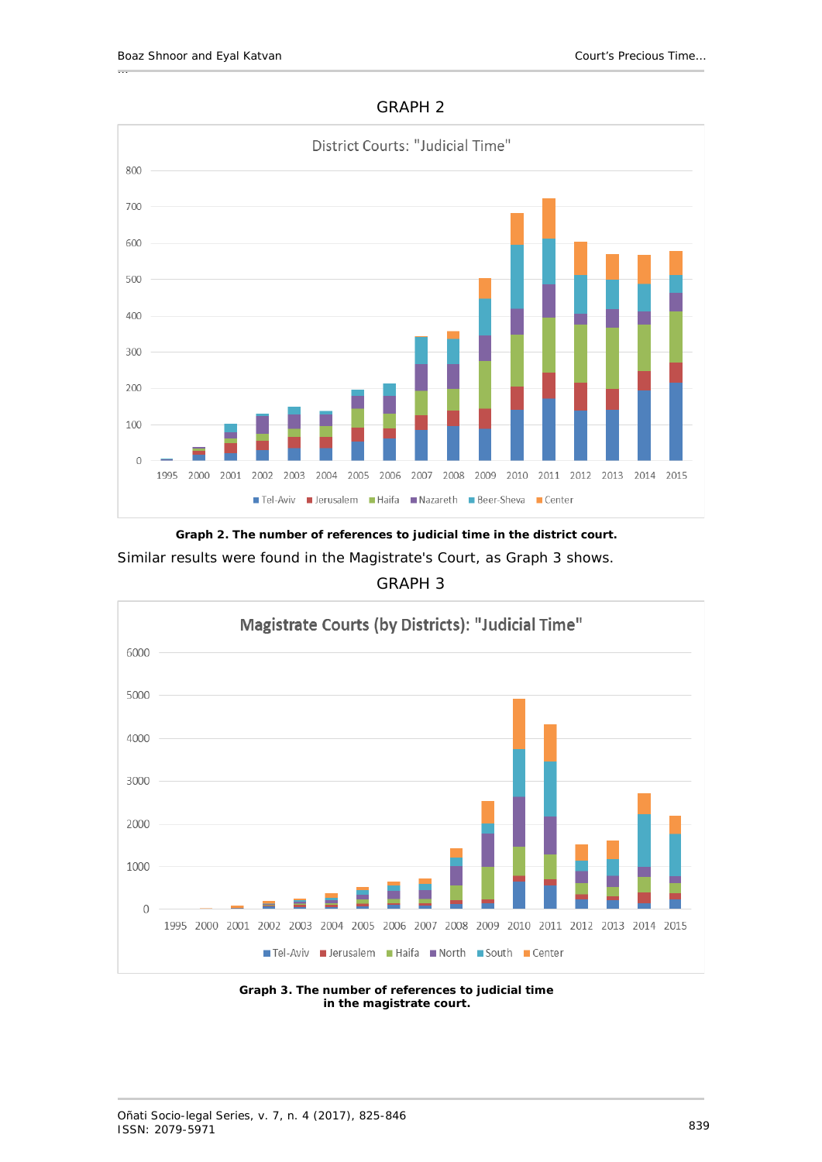



**Graph 2. The number of references to judicial time in the district court.** Similar results were found in the Magistrate's Court, as Graph 3 shows.

# GRAPH 3



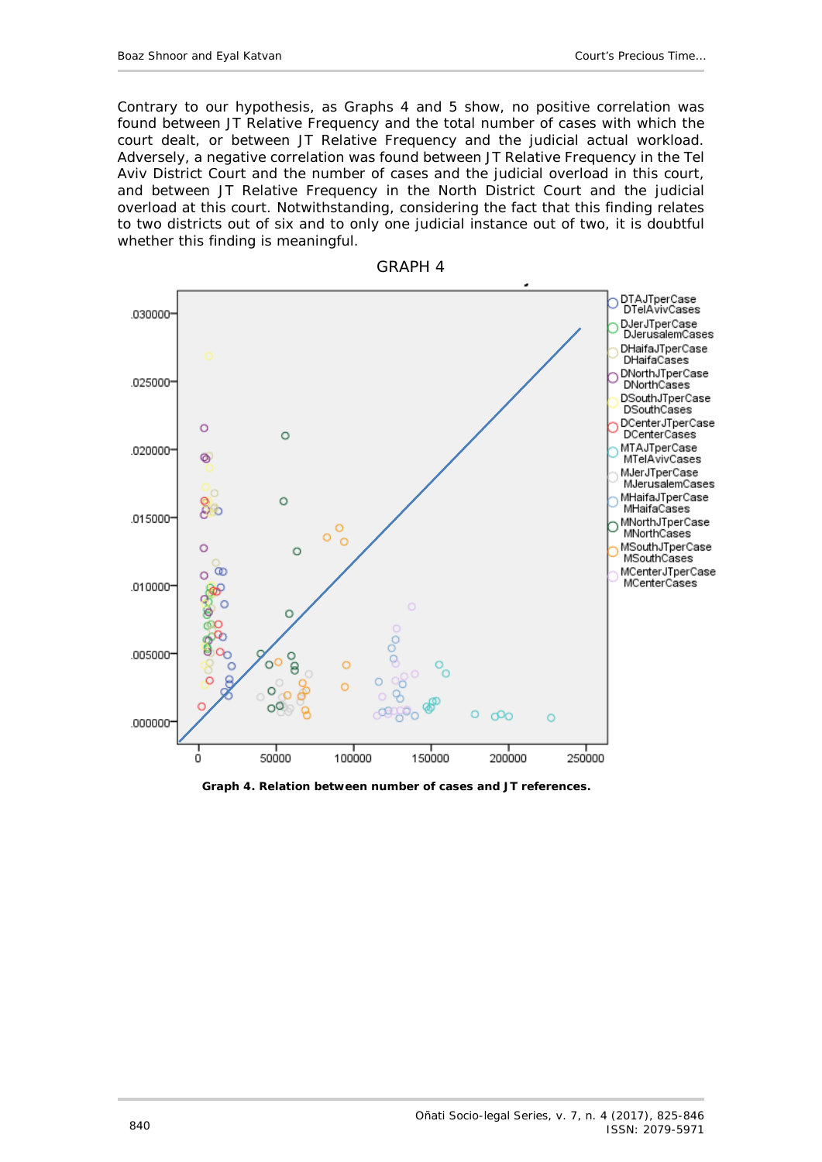Contrary to our hypothesis, as Graphs 4 and 5 show, no positive correlation was found between JT Relative Frequency and the total number of cases with which the court dealt, or between JT Relative Frequency and the judicial actual workload. Adversely, a negative correlation was found between JT Relative Frequency in the Tel Aviv District Court and the number of cases and the judicial overload in this court, and between JT Relative Frequency in the North District Court and the judicial overload at this court. Notwithstanding, considering the fact that this finding relates to two districts out of six and to only one judicial instance out of two, it is doubtful whether this finding is meaningful.



GRAPH 4

**Graph 4. Relation between number of cases and JT references.**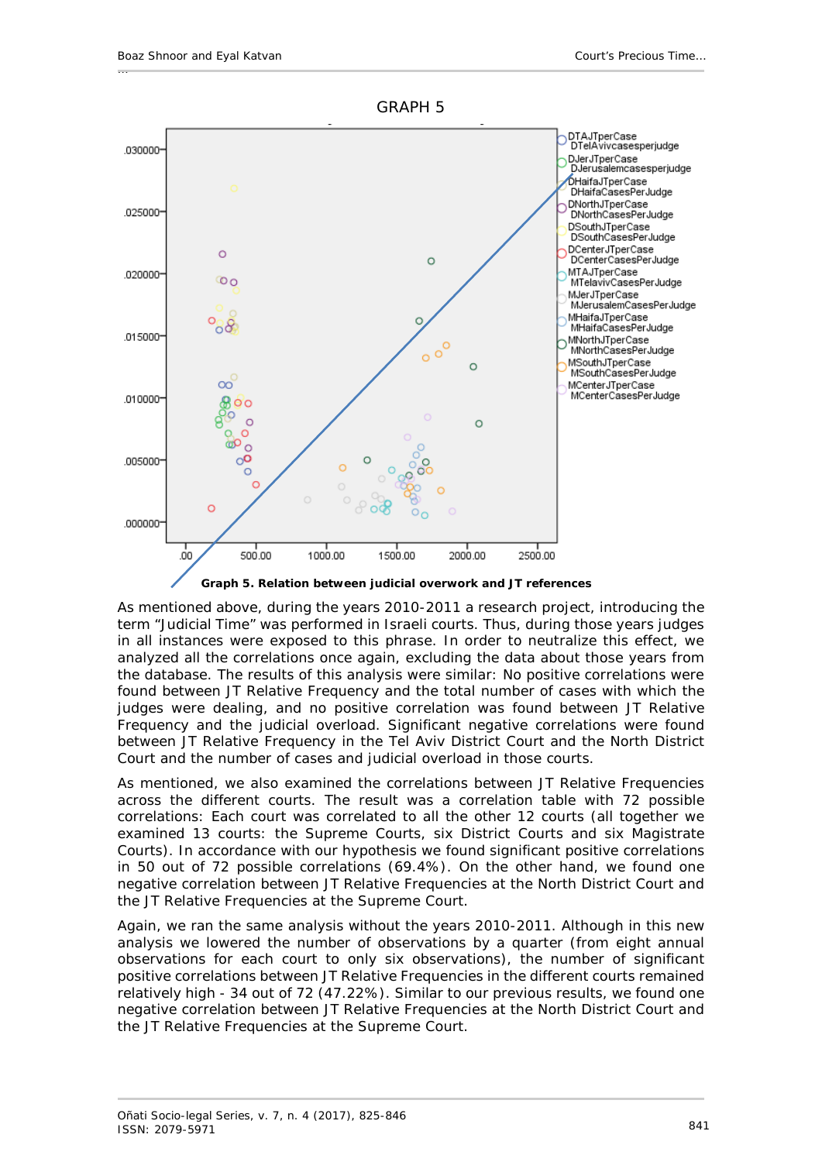

As mentioned above, during the years 2010-2011 a research project, introducing the term "Judicial Time" was performed in Israeli courts. Thus, during those years judges in all instances were exposed to this phrase. In order to neutralize this effect, we analyzed all the correlations once again, excluding the data about those years from the database. The results of this analysis were similar: No positive correlations were found between JT Relative Frequency and the total number of cases with which the judges were dealing, and no positive correlation was found between JT Relative Frequency and the judicial overload. Significant negative correlations were found between JT Relative Frequency in the Tel Aviv District Court and the North District Court and the number of cases and judicial overload in those courts.

As mentioned, we also examined the correlations between JT Relative Frequencies across the different courts. The result was a correlation table with 72 possible correlations: Each court was correlated to all the other 12 courts (all together we examined 13 courts: the Supreme Courts, six District Courts and six Magistrate Courts). In accordance with our hypothesis we found significant positive correlations in 50 out of 72 possible correlations (69.4%). On the other hand, we found one negative correlation between JT Relative Frequencies at the North District Court and the JT Relative Frequencies at the Supreme Court.

Again, we ran the same analysis without the years 2010-2011. Although in this new analysis we lowered the number of observations by a quarter (from eight annual observations for each court to only six observations), the number of significant positive correlations between JT Relative Frequencies in the different courts remained relatively high - 34 out of 72 (47.22%). Similar to our previous results, we found one negative correlation between JT Relative Frequencies at the North District Court and the JT Relative Frequencies at the Supreme Court.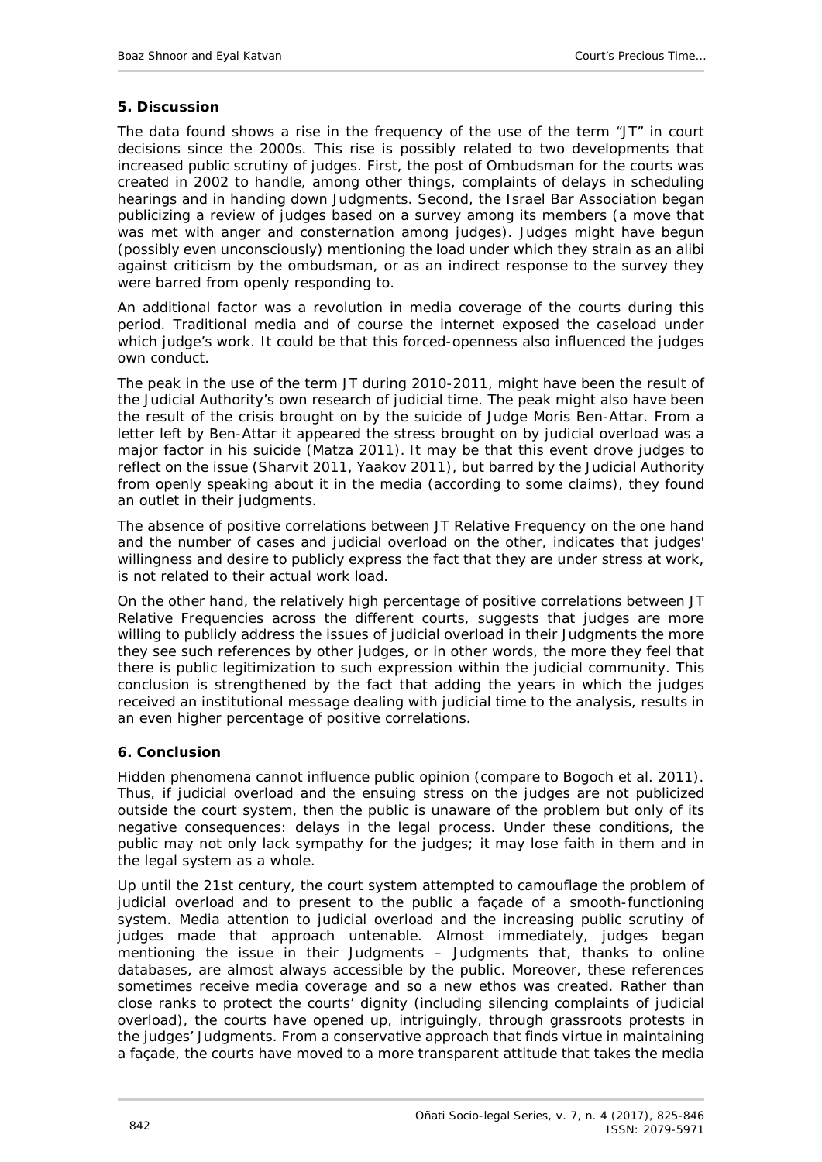## <span id="page-17-0"></span>**5. Discussion**

The data found shows a rise in the frequency of the use of the term "JT" in court decisions since the 2000s. This rise is possibly related to two developments that increased public scrutiny of judges. First, the post of Ombudsman for the courts was created in 2002 to handle, among other things, complaints of delays in scheduling hearings and in handing down Judgments. Second, the Israel Bar Association began publicizing a review of judges based on a survey among its members (a move that was met with anger and consternation among judges). Judges might have begun (possibly even unconsciously) mentioning the load under which they strain as an alibi against criticism by the ombudsman, or as an indirect response to the survey they were barred from openly responding to.

An additional factor was a revolution in media coverage of the courts during this period. Traditional media and of course the internet exposed the caseload under which judge's work. It could be that this forced-openness also influenced the judges own conduct.

The peak in the use of the term JT during 2010-2011, might have been the result of the Judicial Authority's own research of judicial time. The peak might also have been the result of the crisis brought on by the suicide of Judge Moris Ben-Attar. From a letter left by Ben-Attar it appeared the stress brought on by judicial overload was a major factor in his suicide (Matza 2011). It may be that this event drove judges to reflect on the issue (Sharvit 2011, Yaakov 2011), but barred by the Judicial Authority from openly speaking about it in the media (according to some claims), they found an outlet in their judgments.

The absence of positive correlations between JT Relative Frequency on the one hand and the number of cases and judicial overload on the other, indicates that judges' willingness and desire to publicly express the fact that they are under stress at work, is not related to their actual work load.

On the other hand, the relatively high percentage of positive correlations between JT Relative Frequencies across the different courts, suggests that judges are more willing to publicly address the issues of judicial overload in their Judgments the more they see such references by other judges, or in other words, the more they feel that there is public legitimization to such expression within the judicial community. This conclusion is strengthened by the fact that adding the years in which the judges received an institutional message dealing with judicial time to the analysis, results in an even higher percentage of positive correlations.

## <span id="page-17-1"></span>**6. Conclusion**

Hidden phenomena cannot influence public opinion (compare to Bogoch *et al.* 2011). Thus, if judicial overload and the ensuing stress on the judges are not publicized outside the court system, then the public is unaware of the problem but only of its negative consequences: delays in the legal process. Under these conditions, the public may not only lack sympathy for the judges; it may lose faith in them and in the legal system as a whole.

Up until the 21st century, the court system attempted to camouflage the problem of judicial overload and to present to the public a façade of a smooth-functioning system. Media attention to judicial overload and the increasing public scrutiny of judges made that approach untenable. Almost immediately, judges began mentioning the issue in their Judgments – Judgments that, thanks to online databases, are almost always accessible by the public. Moreover, these references sometimes receive media coverage and so a new ethos was created. Rather than close ranks to protect the courts' dignity (including silencing complaints of judicial overload), the courts have opened up, intriguingly, through *grassroots* protests in the judges' Judgments. From a conservative approach that finds virtue in maintaining a façade, the courts have moved to a more transparent attitude that takes the media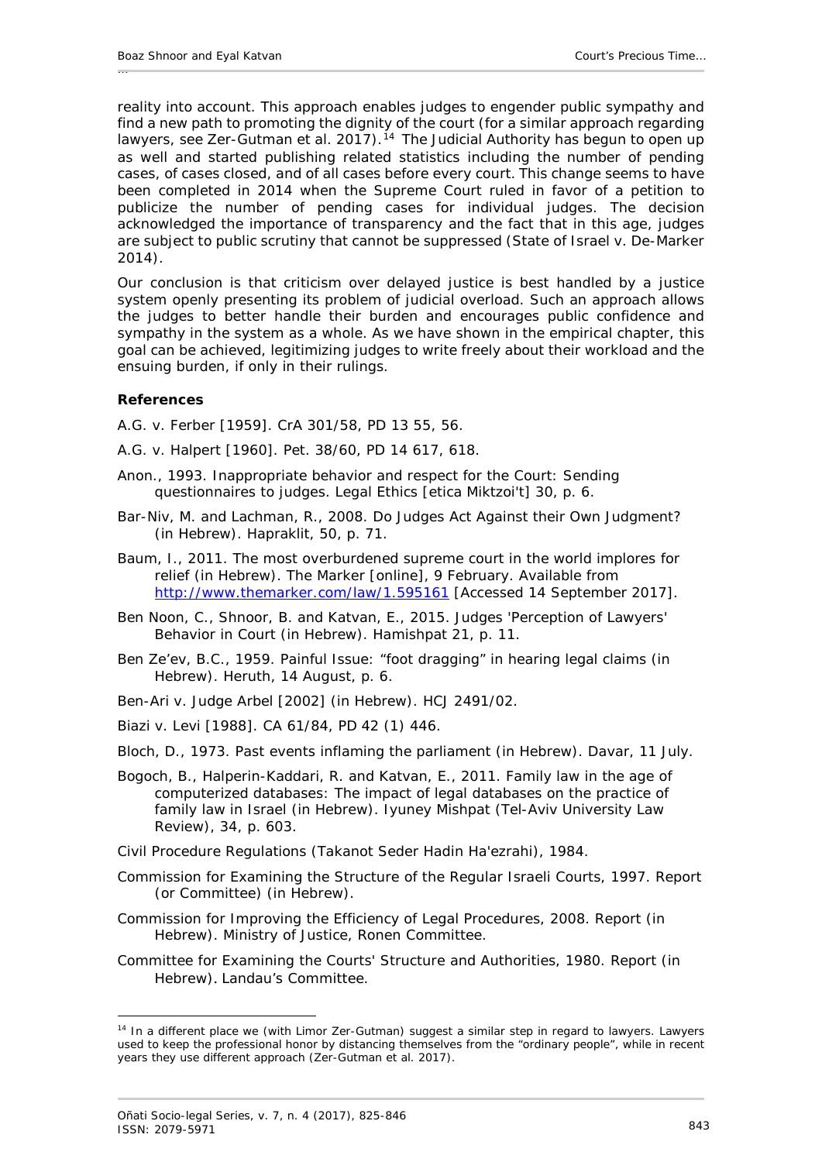reality into account. This approach enables judges to engender public sympathy and find a new path to promoting the dignity of the court (for a similar approach regarding lawyers, see Zer-Gutman et al. 2017).<sup>[14](#page-18-1)</sup> The Judicial Authority has begun to open up as well and started publishing related statistics including the number of pending cases, of cases closed, and of all cases before every court. This change seems to have been completed in 2014 when the Supreme Court ruled in favor of a petition to publicize the number of pending cases for individual judges. The decision acknowledged the importance of transparency and the fact that in this age, judges are subject to public scrutiny that cannot be suppressed (*State of Israel v. De-Marker* 2014).

Our conclusion is that criticism over delayed justice is best handled by a justice system openly presenting its problem of judicial overload. Such an approach allows the judges to better handle their burden and encourages public confidence and sympathy in the system as a whole. As we have shown in the empirical chapter, this goal can be achieved, legitimizing judges to write freely about their workload and the ensuing burden, if only in their rulings.

### <span id="page-18-0"></span>**References**

-

- *A.G. v. Ferber* [1959]. CrA 301/58, PD 13 55, 56.
- *A.G. v. Halpert* [1960]. Pet. 38/60, PD 14 617, 618.
- Anon., 1993. Inappropriate behavior and respect for the Court: Sending questionnaires to judges. *Legal Ethics* [etica Miktzoi't] 30, p. 6.
- Bar-Niv, M. and Lachman, R., 2008. Do Judges Act Against their Own Judgment? (in Hebrew). *Hapraklit*, 50, p. 71.
- Baum, I., 2011. The most overburdened supreme court in the world implores for relief (in Hebrew). *The Marker* [online], 9 February. Available from <http://www.themarker.com/law/1.595161> [Accessed 14 September 2017].
- Ben Noon, C., Shnoor, B. and Katvan, E., 2015. Judges 'Perception of Lawyers' Behavior in Court (in Hebrew). *Hamishpat* 21, p. 11.
- Ben Ze'ev, B.C., 1959. Painful Issue: "foot dragging" in hearing legal claims (in Hebrew). *Heruth,* 14 August, p. 6.
- *Ben-Ari v. Judge Arbel* [2002] (in Hebrew). HCJ 2491/02.
- *Biazi v. Levi* [1988]. CA 61/84, PD 42 (1) 446.
- Bloch, D., 1973. Past events inflaming the parliament (in Hebrew). *Davar,* 11 July.
- Bogoch, B., Halperin-Kaddari, R. and Katvan, E., 2011. Family law in the age of computerized databases: The impact of legal databases on the practice of family law in Israel (in Hebrew). *Iyuney Mishpat (Tel-Aviv University Law Review),* 34, p. 603.
- Civil Procedure Regulations (Takanot Seder Hadin Ha'ezrahi), 1984.
- Commission for Examining the Structure of the Regular Israeli Courts, 1997. *Report* (or Committee) (in Hebrew).
- Commission for Improving the Efficiency of Legal Procedures, 2008. Report (in Hebrew). Ministry of Justice, Ronen Committee.
- Committee for Examining the Courts' Structure and Authorities, 1980. Report (in Hebrew). Landau's Committee.

<span id="page-18-1"></span><sup>&</sup>lt;sup>14</sup> In a different place we (with Limor Zer-Gutman) suggest a similar step in regard to lawyers. Lawyers used to keep the professional honor by distancing themselves from the "ordinary people", while in recent years they use different approach (Zer-Gutman *et al.* 2017).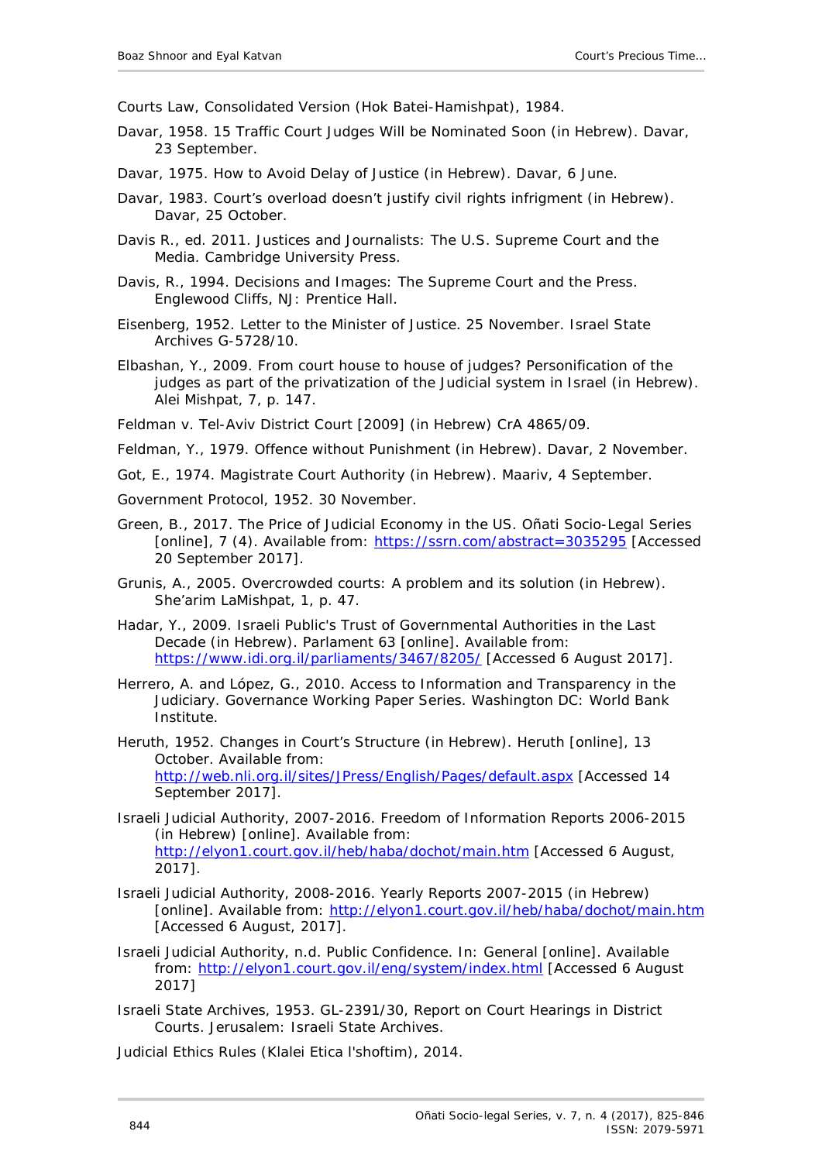Courts Law, Consolidated Version (Hok Batei-Hamishpat), 1984.

- Davar, 1958. 15 Traffic Court Judges Will be Nominated Soon (in Hebrew). *Davar,* 23 September.
- Davar, 1975. How to Avoid Delay of Justice (in Hebrew). *Davar*, 6 June.
- Davar, 1983. Court's overload doesn't justify civil rights infrigment (in Hebrew). *Davar*, 25 October.
- Davis R., ed. 2011. *Justices and Journalists: The U.S. Supreme Court and the Media.* Cambridge University Press.
- Davis, R., 1994. *Decisions and Images: The Supreme Court and the Press*. Englewood Cliffs, NJ: Prentice Hall.
- Eisenberg, 1952. Letter to the Minister of Justice. 25 November. Israel State Archives G-5728/10.
- Elbashan, Y., 2009. From court house to house of judges? Personification of the judges as part of the privatization of the Judicial system in Israel (in Hebrew). *Alei Mishpat,* 7, p. 147.

*Feldman v. Tel-Aviv District Court* [2009] (in Hebrew) CrA 4865/09.

- Feldman, Y., 1979. Offence without Punishment (in Hebrew). *Davar,* 2 November.
- Got, E., 1974. Magistrate Court Authority (in Hebrew). *Maariv*, 4 September.
- Government Protocol, 1952. 30 November.
- Green, B., 2017. The Price of Judicial Economy in the US. Oñati Socio-Legal Series [online], 7 (4). Available from: <https://ssrn.com/abstract=3035295> [Accessed 20 September 2017].
- Grunis, A., 2005. Overcrowded courts: A problem and its solution (in Hebrew). *She'arim LaMishpat*, 1, p. 47.
- Hadar, Y., 2009. Israeli Public's Trust of Governmental Authorities in the Last Decade (in Hebrew). Parlament 63 [online]. Available from: [https://www.idi.org.il/parliaments/3467/8205/](http://www.idi.org.il/%D7%A1%D7%A4%D7%A8%D7%99%D7%9D-%D7%95%D7%9E%D7%90%D7%9E%D7%A8%D7%99%D7%9D/%D7%A4%D7%A8%D7%9C%D7%9E%D7%A0%D7%98/%D7%92%D7%99%D7%9C%D7%99%D7%95%D7%9F-63/%D7%90%D7%9E%D7%95%D7%9F-%D7%94%D7%A6%D7%99%D7%91%D7%95%D7%A8-%D7%94%D7%99%D7%A9%D7%A8%D7%90%D7%9C%D7%99-%D7%91%D7%9E%D7%95%D7%A1%D7%93%D7%95%D7%AA-%D7%94%D7%A9%D7%9C%D7%98%D7%95%D7%9F-%D7%91%D7%A2%D7%A9%D7%95%D7%A8-%D7%94%D7%90%D7%97%D7%A8%D7%95%D7%9F/) [Accessed 6 August 2017].
- Herrero, A. and López, G., 2010. *Access to Information and Transparency in the Judiciary.* Governance Working Paper Series. Washington DC: World Bank Institute.
- Heruth, 1952. Changes in Court's Structure (in Hebrew). *Heruth* [online], 13 October. Available from: http://web.nli.org.il/sites/JPress/English/Pages/default.aspx [Accessed 14 September 2017].
- Israeli Judicial Authority, 2007-2016. *Freedom of Information Reports 2006-2015* (in Hebrew) [online]. Available from: <http://elyon1.court.gov.il/heb/haba/dochot/main.htm> [Accessed 6 August, 2017].
- Israeli Judicial Authority, 2008-2016. *Yearly Reports 2007-2015* (in Hebrew) [online]. Available from:<http://elyon1.court.gov.il/heb/haba/dochot/main.htm> [Accessed 6 August, 2017].
- Israeli Judicial Authority, n.d. Public Confidence*.* In*: General* [online]. Available from:<http://elyon1.court.gov.il/eng/system/index.html> [Accessed 6 August 2017]
- Israeli State Archives, 1953. GL-2391/30, *Report on Court Hearings in District Courts.* Jerusalem: Israeli State Archives.

Judicial Ethics Rules (Klalei Etica l'shoftim), 2014.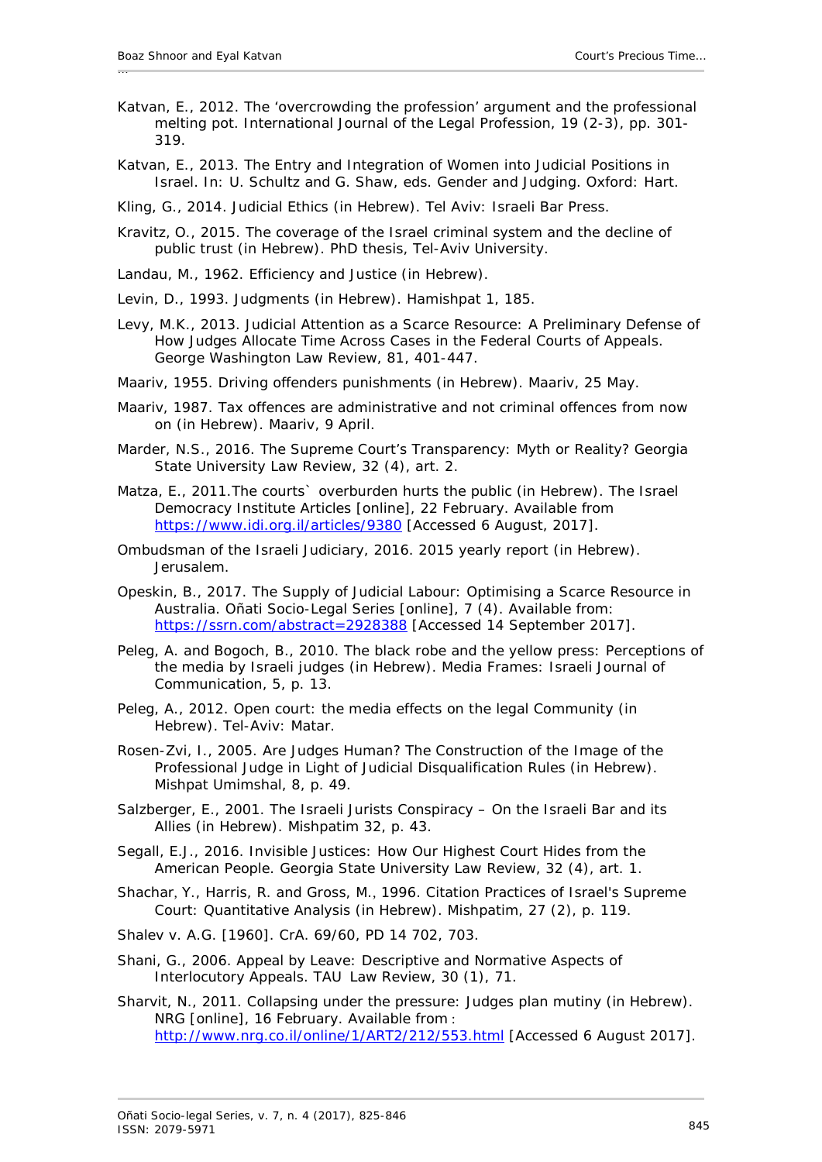- Katvan, E., 2012. The 'overcrowding the profession' argument and the professional melting pot. *International Journal of the Legal Profession,* 19 (2-3), pp. 301- 319.
- Katvan, E., 2013. The Entry and Integration of Women into Judicial Positions in Israel. *In:* U. Schultz and G. Shaw, eds. *Gender and Judging*. Oxford: Hart.

Kling, G., 2014. *Judicial Ethics* (in Hebrew). Tel Aviv: Israeli Bar Press.

- Kravitz, O., 2015. *The coverage of the Israel criminal system and the decline of public trust* (in Hebrew). PhD thesis, Tel-Aviv University.
- Landau, M., 1962. *Efficiency and Justice* (in Hebrew).
- Levin, D., 1993. Judgments (in Hebrew). *Hamishpat* 1, 185.
- Levy, M.K., 2013. Judicial Attention as a Scarce Resource: A Preliminary Defense of How Judges Allocate Time Across Cases in the Federal Courts of Appeals. *George Washington Law Review,* 81, 401-447.
- Maariv, 1955. Driving offenders punishments (in Hebrew). *Maariv*, 25 May.
- Maariv, 1987. Tax offences are administrative and not criminal offences from now on (in Hebrew). *Maariv*, 9 April.
- Marder, N.S., 2016. The Supreme Court's Transparency: Myth or Reality? *Georgia State University Law Review,* 32 (4), art. 2.
- Matza, E., 2011.The courts` overburden hurts the public (in Hebrew). *The Israel Democracy Institute Articles* [online], 22 February. Available from https://www.idi.org.il/articles/9380 [Accessed 6 August, 2017].
- Ombudsman of the Israeli Judiciary, 2016. *2015 yearly report* (in Hebrew). Jerusalem.
- Opeskin, B., 2017. The Supply of Judicial Labour: Optimising a Scarce Resource in Australia. *Oñati Socio-Legal Series* [online], 7 (4). Available from: <https://ssrn.com/abstract=2928388> [Accessed 14 September 2017].
- Peleg, A. and Bogoch, B., 2010. The black robe and the yellow press: Perceptions of the media by Israeli judges (in Hebrew). *Media Frames: Israeli Journal of Communication,* 5, p. 13.
- Peleg, A., 2012. *Open court: the media effects on the legal Community* (in Hebrew). Tel-Aviv: Matar.
- Rosen-Zvi, I., 2005. Are Judges Human? The Construction of the Image of the Professional Judge in Light of Judicial Disqualification Rules (in Hebrew). *Mishpat Umimshal,* 8, p. 49.
- Salzberger, E., 2001. The Israeli Jurists Conspiracy On the Israeli Bar and its Allies (in Hebrew). *Mishpatim* 32, p. 43.
- Segall, E.J., 2016. Invisible Justices: How Our Highest Court Hides from the American People. *Georgia State University Law Review,* 32 (4), art. 1.
- Shachar, Y., Harris, R. and Gross, M., 1996. Citation Practices of Israel's Supreme Court: Quantitative Analysis (in Hebrew). *Mishpatim,* 27 (2), p. 119.
- *Shalev v. A.G.* [1960]. CrA. 69/60, PD 14 702, 703.
- Shani, G., 2006. Appeal by Leave: Descriptive and Normative Aspects of Interlocutory Appeals. *TAU Law Review*, 30 (1), 71.

Sharvit, N., 2011. Collapsing under the pressure: Judges plan mutiny (in Hebrew). *NRG* [online], 16 February. Available from [:](http://www.nrg.co.il/online/1/ART2/212/553.html) <http://www.nrg.co.il/online/1/ART2/212/553.html> [Accessed 6 August 2017].